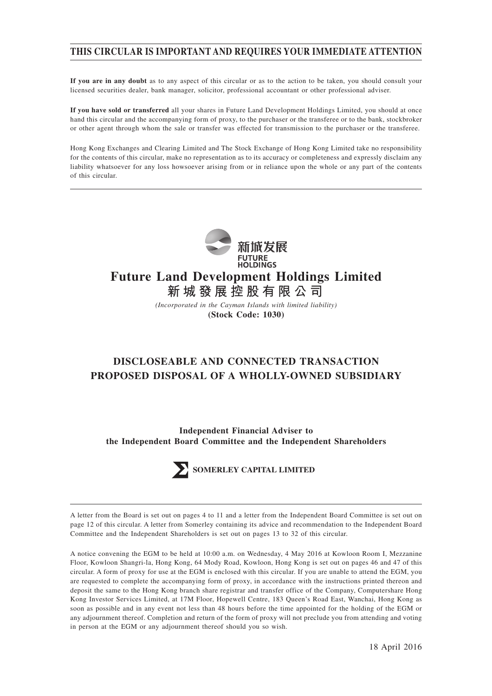# **THIS CIRCULAR IS IMPORTANT AND REQUIRES YOUR IMMEDIATE ATTENTION**

**If you are in any doubt** as to any aspect of this circular or as to the action to be taken, you should consult your licensed securities dealer, bank manager, solicitor, professional accountant or other professional adviser.

**If you have sold or transferred** all your shares in Future Land Development Holdings Limited, you should at once hand this circular and the accompanying form of proxy, to the purchaser or the transferee or to the bank, stockbroker or other agent through whom the sale or transfer was effected for transmission to the purchaser or the transferee.

Hong Kong Exchanges and Clearing Limited and The Stock Exchange of Hong Kong Limited take no responsibility for the contents of this circular, make no representation as to its accuracy or completeness and expressly disclaim any liability whatsoever for any loss howsoever arising from or in reliance upon the whole or any part of the contents of this circular.



**新城發展控股有限公司**

*(Incorporated in the Cayman Islands with limited liability)* **(Stock Code: 1030)**

# **DISCLOSEABLE AND CONNECTED TRANSACTION PROPOSED DISPOSAL OF A WHOLLY-OWNED SUBSIDIARY**

**Independent Financial Adviser to the Independent Board Committee and the Independent Shareholders**



A letter from the Board is set out on pages 4 to 11 and a letter from the Independent Board Committee is set out on page 12 of this circular. A letter from Somerley containing its advice and recommendation to the Independent Board Committee and the Independent Shareholders is set out on pages 13 to 32 of this circular.

A notice convening the EGM to be held at 10:00 a.m. on Wednesday, 4 May 2016 at Kowloon Room I, Mezzanine Floor, Kowloon Shangri-la, Hong Kong, 64 Mody Road, Kowloon, Hong Kong is set out on pages 46 and 47 of this circular. A form of proxy for use at the EGM is enclosed with this circular. If you are unable to attend the EGM, you are requested to complete the accompanying form of proxy, in accordance with the instructions printed thereon and deposit the same to the Hong Kong branch share registrar and transfer office of the Company, Computershare Hong Kong Investor Services Limited, at 17M Floor, Hopewell Centre, 183 Queen's Road East, Wanchai, Hong Kong as soon as possible and in any event not less than 48 hours before the time appointed for the holding of the EGM or any adjournment thereof. Completion and return of the form of proxy will not preclude you from attending and voting in person at the EGM or any adjournment thereof should you so wish.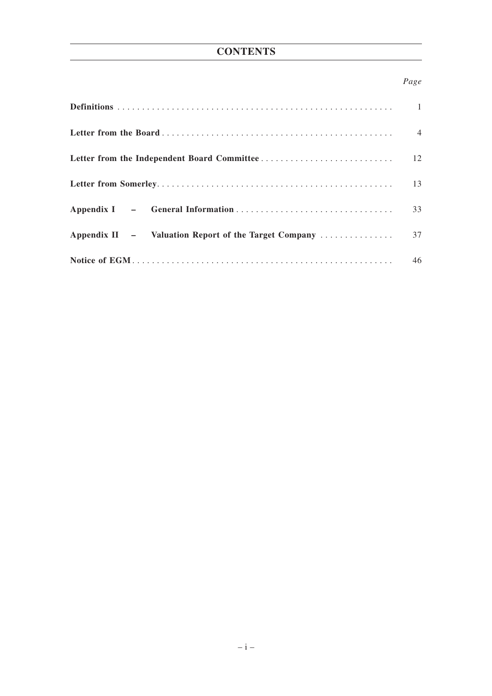## *Page*

|                                                      | $\overline{1}$ |
|------------------------------------------------------|----------------|
|                                                      | $\overline{4}$ |
|                                                      | 12             |
|                                                      | 13             |
|                                                      | 33             |
| Appendix II – Valuation Report of the Target Company | 37             |
|                                                      | 46             |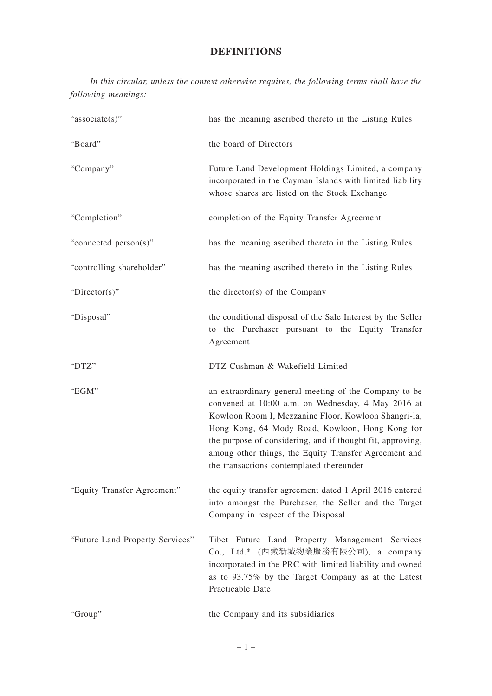# **DEFINITIONS**

*In this circular, unless the context otherwise requires, the following terms shall have the following meanings:*

| "associate(s)"                  | has the meaning ascribed thereto in the Listing Rules                                                                                                                                                                                                                                                                                                                                     |
|---------------------------------|-------------------------------------------------------------------------------------------------------------------------------------------------------------------------------------------------------------------------------------------------------------------------------------------------------------------------------------------------------------------------------------------|
| "Board"                         | the board of Directors                                                                                                                                                                                                                                                                                                                                                                    |
| "Company"                       | Future Land Development Holdings Limited, a company<br>incorporated in the Cayman Islands with limited liability<br>whose shares are listed on the Stock Exchange                                                                                                                                                                                                                         |
| "Completion"                    | completion of the Equity Transfer Agreement                                                                                                                                                                                                                                                                                                                                               |
| "connected person(s)"           | has the meaning ascribed thereto in the Listing Rules                                                                                                                                                                                                                                                                                                                                     |
| "controlling shareholder"       | has the meaning ascribed thereto in the Listing Rules                                                                                                                                                                                                                                                                                                                                     |
| "Director(s)"                   | the director(s) of the Company                                                                                                                                                                                                                                                                                                                                                            |
| "Disposal"                      | the conditional disposal of the Sale Interest by the Seller<br>to the Purchaser pursuant to the Equity Transfer<br>Agreement                                                                                                                                                                                                                                                              |
| "DTZ"                           | DTZ Cushman & Wakefield Limited                                                                                                                                                                                                                                                                                                                                                           |
| "EGM"                           | an extraordinary general meeting of the Company to be<br>convened at 10:00 a.m. on Wednesday, 4 May 2016 at<br>Kowloon Room I, Mezzanine Floor, Kowloon Shangri-la,<br>Hong Kong, 64 Mody Road, Kowloon, Hong Kong for<br>the purpose of considering, and if thought fit, approving,<br>among other things, the Equity Transfer Agreement and<br>the transactions contemplated thereunder |
| "Equity Transfer Agreement"     | the equity transfer agreement dated 1 April 2016 entered<br>into amongst the Purchaser, the Seller and the Target<br>Company in respect of the Disposal                                                                                                                                                                                                                                   |
| "Future Land Property Services" | Tibet Future Land Property Management Services<br>Co., Ltd.* (西藏新城物業服務有限公司), a company<br>incorporated in the PRC with limited liability and owned<br>as to 93.75% by the Target Company as at the Latest<br>Practicable Date                                                                                                                                                             |
| "Group"                         | the Company and its subsidiaries                                                                                                                                                                                                                                                                                                                                                          |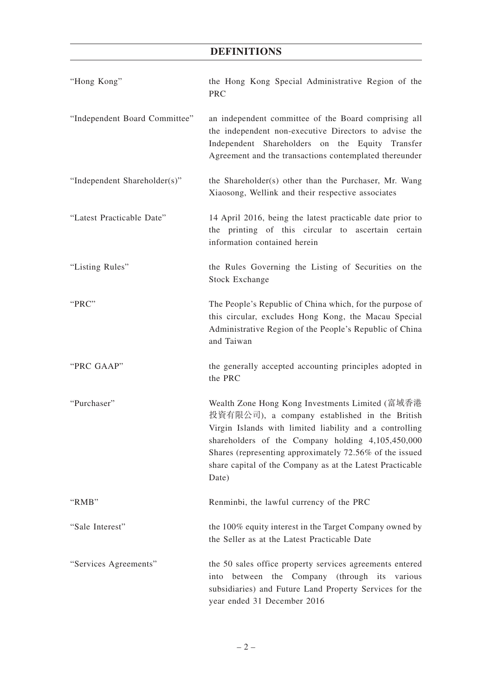# **DEFINITIONS**

| "Hong Kong"                   | the Hong Kong Special Administrative Region of the<br><b>PRC</b>                                                                                                                                                                                                                                                                                  |
|-------------------------------|---------------------------------------------------------------------------------------------------------------------------------------------------------------------------------------------------------------------------------------------------------------------------------------------------------------------------------------------------|
| "Independent Board Committee" | an independent committee of the Board comprising all<br>the independent non-executive Directors to advise the<br>Independent Shareholders on the Equity Transfer<br>Agreement and the transactions contemplated thereunder                                                                                                                        |
| "Independent Shareholder(s)"  | the Shareholder(s) other than the Purchaser, Mr. Wang<br>Xiaosong, Wellink and their respective associates                                                                                                                                                                                                                                        |
| "Latest Practicable Date"     | 14 April 2016, being the latest practicable date prior to<br>the printing of this circular to ascertain certain<br>information contained herein                                                                                                                                                                                                   |
| "Listing Rules"               | the Rules Governing the Listing of Securities on the<br><b>Stock Exchange</b>                                                                                                                                                                                                                                                                     |
| "PRC"                         | The People's Republic of China which, for the purpose of<br>this circular, excludes Hong Kong, the Macau Special<br>Administrative Region of the People's Republic of China<br>and Taiwan                                                                                                                                                         |
| "PRC GAAP"                    | the generally accepted accounting principles adopted in<br>the PRC                                                                                                                                                                                                                                                                                |
| "Purchaser"                   | Wealth Zone Hong Kong Investments Limited (富域香港<br>投資有限公司), a company established in the British<br>Virgin Islands with limited liability and a controlling<br>shareholders of the Company holding 4,105,450,000<br>Shares (representing approximately 72.56% of the issued<br>share capital of the Company as at the Latest Practicable<br>Date) |
| "RMB"                         | Renminbi, the lawful currency of the PRC                                                                                                                                                                                                                                                                                                          |
| "Sale Interest"               | the 100% equity interest in the Target Company owned by<br>the Seller as at the Latest Practicable Date                                                                                                                                                                                                                                           |
| "Services Agreements"         | the 50 sales office property services agreements entered<br>between the Company (through its various<br>into<br>subsidiaries) and Future Land Property Services for the<br>year ended 31 December 2016                                                                                                                                            |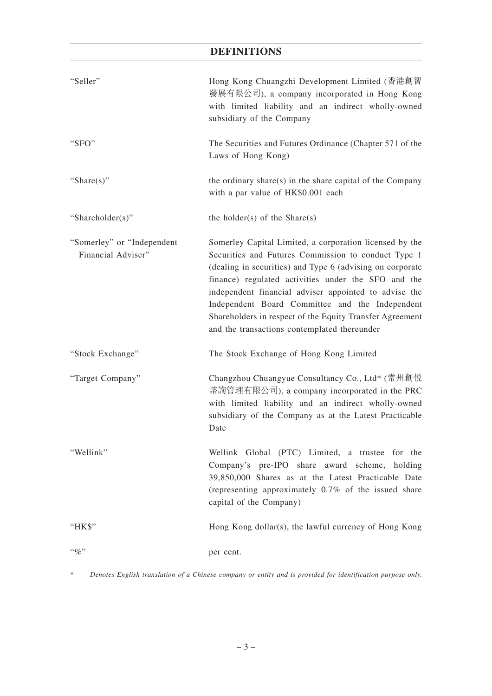# **DEFINITIONS**

| "Seller"                                         | Hong Kong Chuangzhi Development Limited (香港創智<br>發展有限公司), a company incorporated in Hong Kong<br>with limited liability and an indirect wholly-owned<br>subsidiary of the Company                                                                                                                                                                                                                                                                          |
|--------------------------------------------------|------------------------------------------------------------------------------------------------------------------------------------------------------------------------------------------------------------------------------------------------------------------------------------------------------------------------------------------------------------------------------------------------------------------------------------------------------------|
| "SFO"                                            | The Securities and Futures Ordinance (Chapter 571 of the<br>Laws of Hong Kong)                                                                                                                                                                                                                                                                                                                                                                             |
| "Share $(s)$ "                                   | the ordinary share(s) in the share capital of the Company<br>with a par value of HK\$0.001 each                                                                                                                                                                                                                                                                                                                                                            |
| "Shareholder(s)"                                 | the holder(s) of the $Share(s)$                                                                                                                                                                                                                                                                                                                                                                                                                            |
| "Somerley" or "Independent<br>Financial Adviser" | Somerley Capital Limited, a corporation licensed by the<br>Securities and Futures Commission to conduct Type 1<br>(dealing in securities) and Type 6 (advising on corporate<br>finance) regulated activities under the SFO and the<br>independent financial adviser appointed to advise the<br>Independent Board Committee and the Independent<br>Shareholders in respect of the Equity Transfer Agreement<br>and the transactions contemplated thereunder |
| "Stock Exchange"                                 | The Stock Exchange of Hong Kong Limited                                                                                                                                                                                                                                                                                                                                                                                                                    |
| "Target Company"                                 | Changzhou Chuangyue Consultancy Co., Ltd* (常州創悦<br>諮詢管理有限公司), a company incorporated in the PRC<br>with limited liability and an indirect wholly-owned<br>subsidiary of the Company as at the Latest Practicable<br>Date                                                                                                                                                                                                                                   |
| "Wellink"                                        | Wellink Global (PTC) Limited, a trustee for the<br>Company's pre-IPO share award scheme, holding<br>39,850,000 Shares as at the Latest Practicable Date<br>(representing approximately $0.7\%$ of the issued share<br>capital of the Company)                                                                                                                                                                                                              |
| "HK\$"                                           | Hong Kong dollar(s), the lawful currency of Hong Kong                                                                                                                                                                                                                                                                                                                                                                                                      |
| $``\%"$                                          | per cent.                                                                                                                                                                                                                                                                                                                                                                                                                                                  |

\* *Denotes English translation of a Chinese company or entity and is provided for identification purpose only.*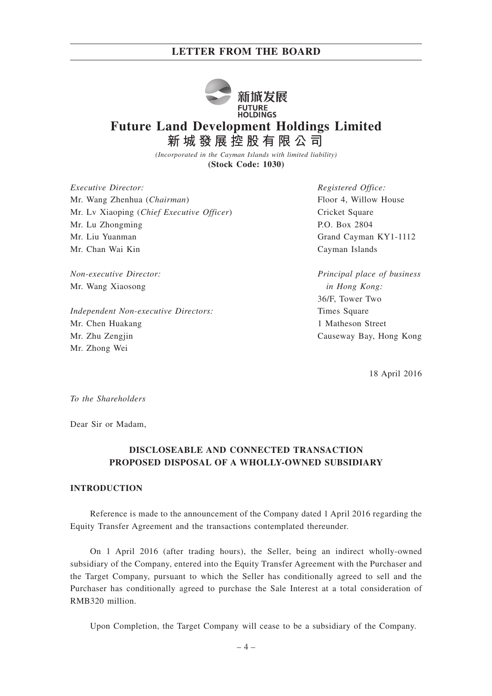

# **Future Land Development Holdings Limited 新城發展控股有限公司**

*(Incorporated in the Cayman Islands with limited liability)* **(Stock Code: 1030)**

*Executive Director:* Mr. Wang Zhenhua (*Chairman*) Mr. Lv Xiaoping (*Chief Executive Officer*) Mr. Lu Zhongming Mr. Liu Yuanman Mr. Chan Wai Kin

*Non-executive Director:* Mr. Wang Xiaosong

*Independent Non-executive Directors:* Mr. Chen Huakang Mr. Zhu Zengjin Mr. Zhong Wei

*Registered Office:* Floor 4, Willow House Cricket Square P.O. Box 2804 Grand Cayman KY1-1112 Cayman Islands

*Principal place of business in Hong Kong:* 36/F, Tower Two Times Square 1 Matheson Street Causeway Bay, Hong Kong

18 April 2016

*To the Shareholders*

Dear Sir or Madam,

## **DISCLOSEABLE AND CONNECTED TRANSACTION PROPOSED DISPOSAL OF A WHOLLY-OWNED SUBSIDIARY**

#### **INTRODUCTION**

Reference is made to the announcement of the Company dated 1 April 2016 regarding the Equity Transfer Agreement and the transactions contemplated thereunder.

On 1 April 2016 (after trading hours), the Seller, being an indirect wholly-owned subsidiary of the Company, entered into the Equity Transfer Agreement with the Purchaser and the Target Company, pursuant to which the Seller has conditionally agreed to sell and the Purchaser has conditionally agreed to purchase the Sale Interest at a total consideration of RMB320 million.

Upon Completion, the Target Company will cease to be a subsidiary of the Company.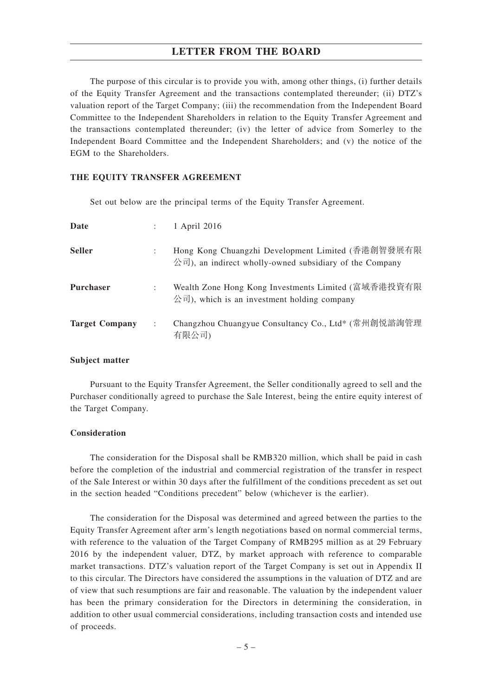The purpose of this circular is to provide you with, among other things, (i) further details of the Equity Transfer Agreement and the transactions contemplated thereunder; (ii) DTZ's valuation report of the Target Company; (iii) the recommendation from the Independent Board Committee to the Independent Shareholders in relation to the Equity Transfer Agreement and the transactions contemplated thereunder; (iv) the letter of advice from Somerley to the Independent Board Committee and the Independent Shareholders; and (v) the notice of the EGM to the Shareholders.

#### **THE EQUITY TRANSFER AGREEMENT**

Set out below are the principal terms of the Equity Transfer Agreement.

| Date                  |   | 1 April 2016                                                                                                                            |
|-----------------------|---|-----------------------------------------------------------------------------------------------------------------------------------------|
| <b>Seller</b>         |   | Hong Kong Chuangzhi Development Limited (香港創智發展有限<br>公司), an indirect wholly-owned subsidiary of the Company                            |
| <b>Purchaser</b>      |   | Wealth Zone Hong Kong Investments Limited (富域香港投資有限<br>$\langle \hat{\mathcal{E}}^{\dagger}  $ , which is an investment holding company |
| <b>Target Company</b> | ÷ | Changzhou Chuangyue Consultancy Co., Ltd* (常州創悦諮詢管理<br>有限公司)                                                                            |

#### **Subject matter**

Pursuant to the Equity Transfer Agreement, the Seller conditionally agreed to sell and the Purchaser conditionally agreed to purchase the Sale Interest, being the entire equity interest of the Target Company.

#### **Consideration**

The consideration for the Disposal shall be RMB320 million, which shall be paid in cash before the completion of the industrial and commercial registration of the transfer in respect of the Sale Interest or within 30 days after the fulfillment of the conditions precedent as set out in the section headed "Conditions precedent" below (whichever is the earlier).

The consideration for the Disposal was determined and agreed between the parties to the Equity Transfer Agreement after arm's length negotiations based on normal commercial terms, with reference to the valuation of the Target Company of RMB295 million as at 29 February 2016 by the independent valuer, DTZ, by market approach with reference to comparable market transactions. DTZ's valuation report of the Target Company is set out in Appendix II to this circular. The Directors have considered the assumptions in the valuation of DTZ and are of view that such resumptions are fair and reasonable. The valuation by the independent valuer has been the primary consideration for the Directors in determining the consideration, in addition to other usual commercial considerations, including transaction costs and intended use of proceeds.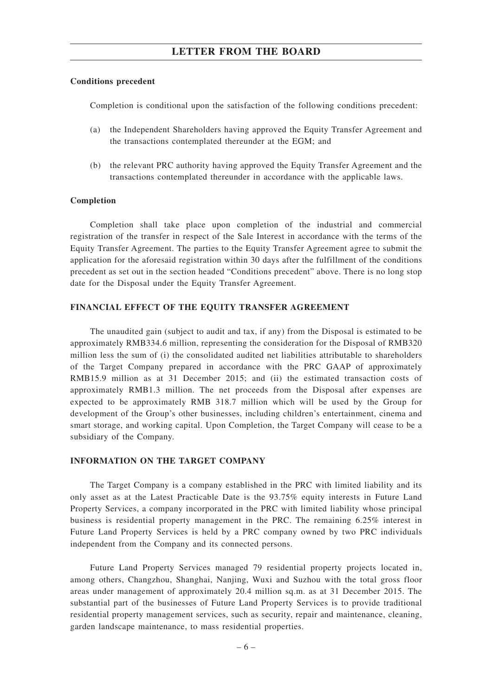### **Conditions precedent**

Completion is conditional upon the satisfaction of the following conditions precedent:

- (a) the Independent Shareholders having approved the Equity Transfer Agreement and the transactions contemplated thereunder at the EGM; and
- (b) the relevant PRC authority having approved the Equity Transfer Agreement and the transactions contemplated thereunder in accordance with the applicable laws.

#### **Completion**

Completion shall take place upon completion of the industrial and commercial registration of the transfer in respect of the Sale Interest in accordance with the terms of the Equity Transfer Agreement. The parties to the Equity Transfer Agreement agree to submit the application for the aforesaid registration within 30 days after the fulfillment of the conditions precedent as set out in the section headed "Conditions precedent" above. There is no long stop date for the Disposal under the Equity Transfer Agreement.

#### **FINANCIAL EFFECT OF THE EQUITY TRANSFER AGREEMENT**

The unaudited gain (subject to audit and tax, if any) from the Disposal is estimated to be approximately RMB334.6 million, representing the consideration for the Disposal of RMB320 million less the sum of (i) the consolidated audited net liabilities attributable to shareholders of the Target Company prepared in accordance with the PRC GAAP of approximately RMB15.9 million as at 31 December 2015; and (ii) the estimated transaction costs of approximately RMB1.3 million. The net proceeds from the Disposal after expenses are expected to be approximately RMB 318.7 million which will be used by the Group for development of the Group's other businesses, including children's entertainment, cinema and smart storage, and working capital. Upon Completion, the Target Company will cease to be a subsidiary of the Company.

#### **INFORMATION ON THE TARGET COMPANY**

The Target Company is a company established in the PRC with limited liability and its only asset as at the Latest Practicable Date is the 93.75% equity interests in Future Land Property Services, a company incorporated in the PRC with limited liability whose principal business is residential property management in the PRC. The remaining 6.25% interest in Future Land Property Services is held by a PRC company owned by two PRC individuals independent from the Company and its connected persons.

Future Land Property Services managed 79 residential property projects located in, among others, Changzhou, Shanghai, Nanjing, Wuxi and Suzhou with the total gross floor areas under management of approximately 20.4 million sq.m. as at 31 December 2015. The substantial part of the businesses of Future Land Property Services is to provide traditional residential property management services, such as security, repair and maintenance, cleaning, garden landscape maintenance, to mass residential properties.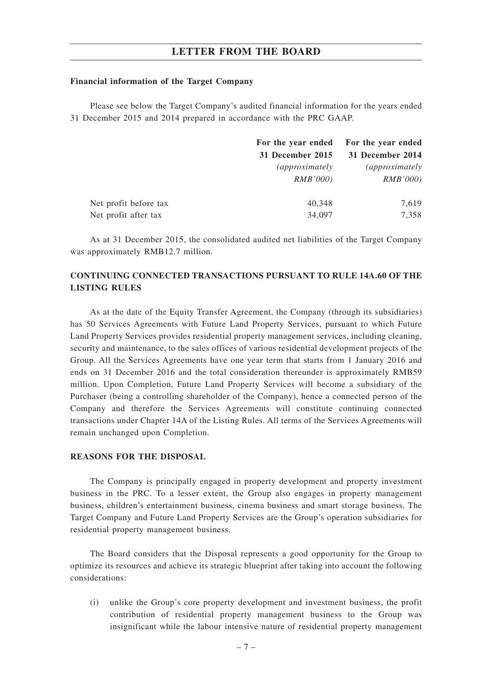### **Financial information of the Target Company**

Please see below the Target Company's audited financial information for the years ended 31 December 2015 and 2014 prepared in accordance with the PRC GAAP.

|                       | For the year ended     | For the year ended     |
|-----------------------|------------------------|------------------------|
|                       | 31 December 2015       | 31 December 2014       |
|                       | <i>(approximately)</i> | <i>(approximately)</i> |
|                       | RMB'000                | RMB'000                |
| Net profit before tax | 40,348                 | 7,619                  |
| Net profit after tax  | 34,097                 | 7,358                  |

As at 31 December 2015, the consolidated audited net liabilities of the Target Company was approximately RMB12.7 million.

## **CONTINUING CONNECTED TRANSACTIONS PURSUANT TO RULE 14A.60 OF THE LISTING RULES**

As at the date of the Equity Transfer Agreement, the Company (through its subsidiaries) has 50 Services Agreements with Future Land Property Services, pursuant to which Future Land Property Services provides residential property management services, including cleaning, security and maintenance, to the sales offices of various residential development projects of the Group. All the Services Agreements have one year term that starts from 1 January 2016 and ends on 31 December 2016 and the total consideration thereunder is approximately RMB59 million. Upon Completion, Future Land Property Services will become a subsidiary of the Purchaser (being a controlling shareholder of the Company), hence a connected person of the Company and therefore the Services Agreements will constitute continuing connected transactions under Chapter 14A of the Listing Rules. All terms of the Services Agreements will remain unchanged upon Completion.

## **REASONS FOR THE DISPOSAL**

The Company is principally engaged in property development and property investment business in the PRC. To a lesser extent, the Group also engages in property management business, children's entertainment business, cinema business and smart storage business. The Target Company and Future Land Property Services are the Group's operation subsidiaries for residential property management business.

The Board considers that the Disposal represents a good opportunity for the Group to optimize its resources and achieve its strategic blueprint after taking into account the following considerations:

(i) unlike the Group's core property development and investment business, the profit contribution of residential property management business to the Group was insignificant while the labour intensive nature of residential property management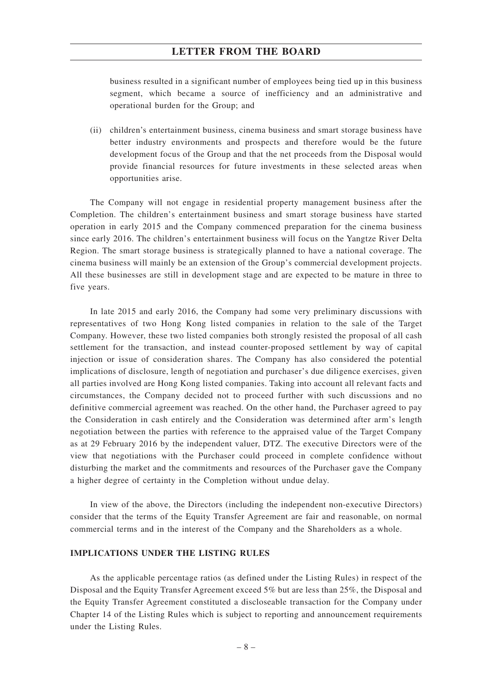business resulted in a significant number of employees being tied up in this business segment, which became a source of inefficiency and an administrative and operational burden for the Group; and

(ii) children's entertainment business, cinema business and smart storage business have better industry environments and prospects and therefore would be the future development focus of the Group and that the net proceeds from the Disposal would provide financial resources for future investments in these selected areas when opportunities arise.

The Company will not engage in residential property management business after the Completion. The children's entertainment business and smart storage business have started operation in early 2015 and the Company commenced preparation for the cinema business since early 2016. The children's entertainment business will focus on the Yangtze River Delta Region. The smart storage business is strategically planned to have a national coverage. The cinema business will mainly be an extension of the Group's commercial development projects. All these businesses are still in development stage and are expected to be mature in three to five years.

In late 2015 and early 2016, the Company had some very preliminary discussions with representatives of two Hong Kong listed companies in relation to the sale of the Target Company. However, these two listed companies both strongly resisted the proposal of all cash settlement for the transaction, and instead counter-proposed settlement by way of capital injection or issue of consideration shares. The Company has also considered the potential implications of disclosure, length of negotiation and purchaser's due diligence exercises, given all parties involved are Hong Kong listed companies. Taking into account all relevant facts and circumstances, the Company decided not to proceed further with such discussions and no definitive commercial agreement was reached. On the other hand, the Purchaser agreed to pay the Consideration in cash entirely and the Consideration was determined after arm's length negotiation between the parties with reference to the appraised value of the Target Company as at 29 February 2016 by the independent valuer, DTZ. The executive Directors were of the view that negotiations with the Purchaser could proceed in complete confidence without disturbing the market and the commitments and resources of the Purchaser gave the Company a higher degree of certainty in the Completion without undue delay.

In view of the above, the Directors (including the independent non-executive Directors) consider that the terms of the Equity Transfer Agreement are fair and reasonable, on normal commercial terms and in the interest of the Company and the Shareholders as a whole.

#### **IMPLICATIONS UNDER THE LISTING RULES**

As the applicable percentage ratios (as defined under the Listing Rules) in respect of the Disposal and the Equity Transfer Agreement exceed 5% but are less than 25%, the Disposal and the Equity Transfer Agreement constituted a discloseable transaction for the Company under Chapter 14 of the Listing Rules which is subject to reporting and announcement requirements under the Listing Rules.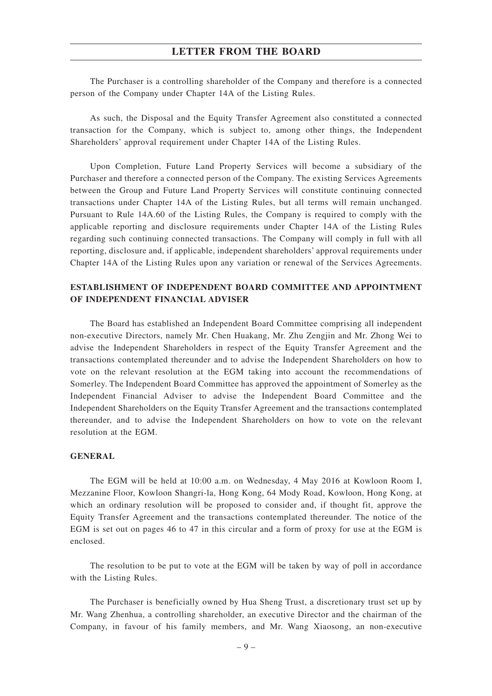The Purchaser is a controlling shareholder of the Company and therefore is a connected person of the Company under Chapter 14A of the Listing Rules.

As such, the Disposal and the Equity Transfer Agreement also constituted a connected transaction for the Company, which is subject to, among other things, the Independent Shareholders' approval requirement under Chapter 14A of the Listing Rules.

Upon Completion, Future Land Property Services will become a subsidiary of the Purchaser and therefore a connected person of the Company. The existing Services Agreements between the Group and Future Land Property Services will constitute continuing connected transactions under Chapter 14A of the Listing Rules, but all terms will remain unchanged. Pursuant to Rule 14A.60 of the Listing Rules, the Company is required to comply with the applicable reporting and disclosure requirements under Chapter 14A of the Listing Rules regarding such continuing connected transactions. The Company will comply in full with all reporting, disclosure and, if applicable, independent shareholders' approval requirements under Chapter 14A of the Listing Rules upon any variation or renewal of the Services Agreements.

## **ESTABLISHMENT OF INDEPENDENT BOARD COMMITTEE AND APPOINTMENT OF INDEPENDENT FINANCIAL ADVISER**

The Board has established an Independent Board Committee comprising all independent non-executive Directors, namely Mr. Chen Huakang, Mr. Zhu Zengjin and Mr. Zhong Wei to advise the Independent Shareholders in respect of the Equity Transfer Agreement and the transactions contemplated thereunder and to advise the Independent Shareholders on how to vote on the relevant resolution at the EGM taking into account the recommendations of Somerley. The Independent Board Committee has approved the appointment of Somerley as the Independent Financial Adviser to advise the Independent Board Committee and the Independent Shareholders on the Equity Transfer Agreement and the transactions contemplated thereunder, and to advise the Independent Shareholders on how to vote on the relevant resolution at the EGM.

### **GENERAL**

The EGM will be held at 10:00 a.m. on Wednesday, 4 May 2016 at Kowloon Room I, Mezzanine Floor, Kowloon Shangri-la, Hong Kong, 64 Mody Road, Kowloon, Hong Kong, at which an ordinary resolution will be proposed to consider and, if thought fit, approve the Equity Transfer Agreement and the transactions contemplated thereunder. The notice of the EGM is set out on pages 46 to 47 in this circular and a form of proxy for use at the EGM is enclosed.

The resolution to be put to vote at the EGM will be taken by way of poll in accordance with the Listing Rules.

The Purchaser is beneficially owned by Hua Sheng Trust, a discretionary trust set up by Mr. Wang Zhenhua, a controlling shareholder, an executive Director and the chairman of the Company, in favour of his family members, and Mr. Wang Xiaosong, an non-executive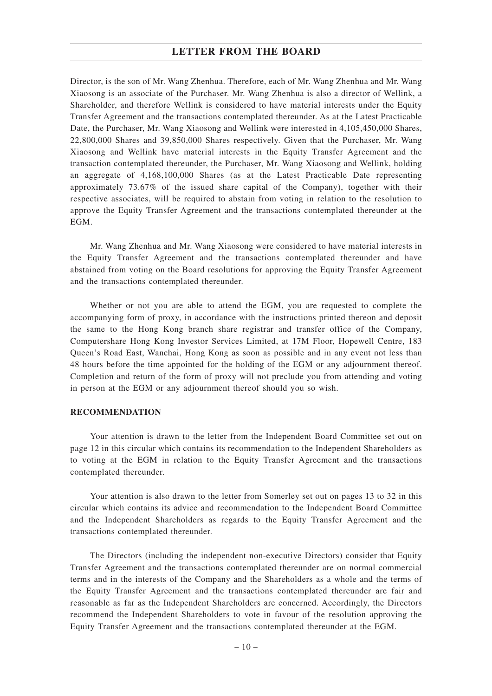Director, is the son of Mr. Wang Zhenhua. Therefore, each of Mr. Wang Zhenhua and Mr. Wang Xiaosong is an associate of the Purchaser. Mr. Wang Zhenhua is also a director of Wellink, a Shareholder, and therefore Wellink is considered to have material interests under the Equity Transfer Agreement and the transactions contemplated thereunder. As at the Latest Practicable Date, the Purchaser, Mr. Wang Xiaosong and Wellink were interested in 4,105,450,000 Shares, 22,800,000 Shares and 39,850,000 Shares respectively. Given that the Purchaser, Mr. Wang Xiaosong and Wellink have material interests in the Equity Transfer Agreement and the transaction contemplated thereunder, the Purchaser, Mr. Wang Xiaosong and Wellink, holding an aggregate of 4,168,100,000 Shares (as at the Latest Practicable Date representing approximately 73.67% of the issued share capital of the Company), together with their respective associates, will be required to abstain from voting in relation to the resolution to approve the Equity Transfer Agreement and the transactions contemplated thereunder at the EGM.

Mr. Wang Zhenhua and Mr. Wang Xiaosong were considered to have material interests in the Equity Transfer Agreement and the transactions contemplated thereunder and have abstained from voting on the Board resolutions for approving the Equity Transfer Agreement and the transactions contemplated thereunder.

Whether or not you are able to attend the EGM, you are requested to complete the accompanying form of proxy, in accordance with the instructions printed thereon and deposit the same to the Hong Kong branch share registrar and transfer office of the Company, Computershare Hong Kong Investor Services Limited, at 17M Floor, Hopewell Centre, 183 Queen's Road East, Wanchai, Hong Kong as soon as possible and in any event not less than 48 hours before the time appointed for the holding of the EGM or any adjournment thereof. Completion and return of the form of proxy will not preclude you from attending and voting in person at the EGM or any adjournment thereof should you so wish.

#### **RECOMMENDATION**

Your attention is drawn to the letter from the Independent Board Committee set out on page 12 in this circular which contains its recommendation to the Independent Shareholders as to voting at the EGM in relation to the Equity Transfer Agreement and the transactions contemplated thereunder.

Your attention is also drawn to the letter from Somerley set out on pages 13 to 32 in this circular which contains its advice and recommendation to the Independent Board Committee and the Independent Shareholders as regards to the Equity Transfer Agreement and the transactions contemplated thereunder.

The Directors (including the independent non-executive Directors) consider that Equity Transfer Agreement and the transactions contemplated thereunder are on normal commercial terms and in the interests of the Company and the Shareholders as a whole and the terms of the Equity Transfer Agreement and the transactions contemplated thereunder are fair and reasonable as far as the Independent Shareholders are concerned. Accordingly, the Directors recommend the Independent Shareholders to vote in favour of the resolution approving the Equity Transfer Agreement and the transactions contemplated thereunder at the EGM.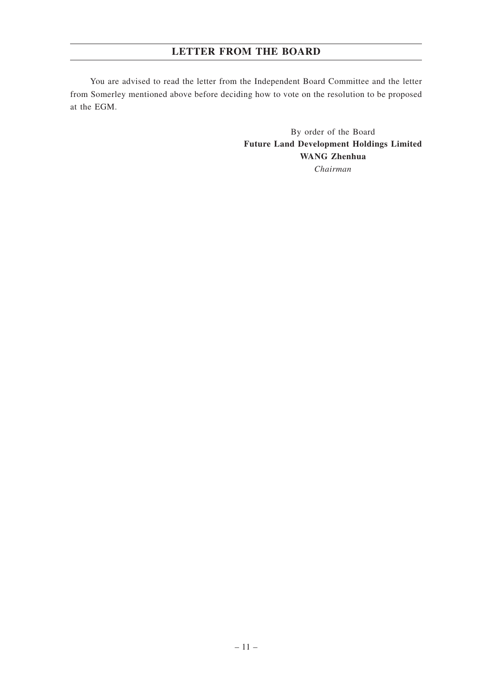You are advised to read the letter from the Independent Board Committee and the letter from Somerley mentioned above before deciding how to vote on the resolution to be proposed at the EGM.

> By order of the Board **Future Land Development Holdings Limited WANG Zhenhua** *Chairman*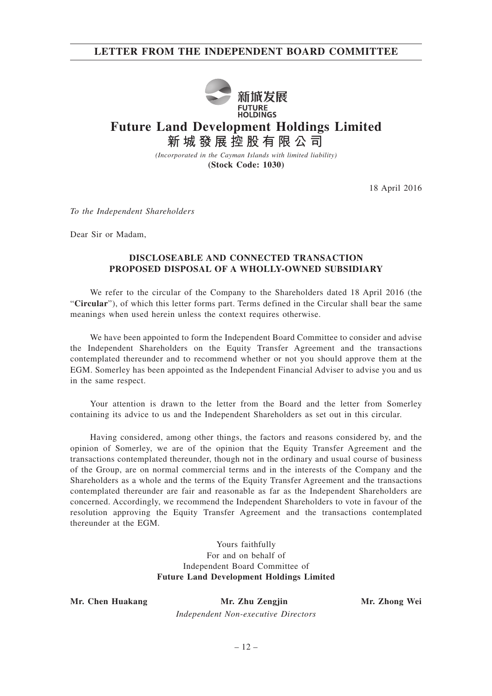## **LETTER FROM THE INDEPENDENT BOARD COMMITTEE**



# **Future Land Development Holdings Limited 新城發展控股有限公司**

*(Incorporated in the Cayman Islands with limited liability)* **(Stock Code: 1030)**

18 April 2016

*To the Independent Shareholders*

Dear Sir or Madam,

## **DISCLOSEABLE AND CONNECTED TRANSACTION PROPOSED DISPOSAL OF A WHOLLY-OWNED SUBSIDIARY**

We refer to the circular of the Company to the Shareholders dated 18 April 2016 (the "**Circular**"), of which this letter forms part. Terms defined in the Circular shall bear the same meanings when used herein unless the context requires otherwise.

We have been appointed to form the Independent Board Committee to consider and advise the Independent Shareholders on the Equity Transfer Agreement and the transactions contemplated thereunder and to recommend whether or not you should approve them at the EGM. Somerley has been appointed as the Independent Financial Adviser to advise you and us in the same respect.

Your attention is drawn to the letter from the Board and the letter from Somerley containing its advice to us and the Independent Shareholders as set out in this circular.

Having considered, among other things, the factors and reasons considered by, and the opinion of Somerley, we are of the opinion that the Equity Transfer Agreement and the transactions contemplated thereunder, though not in the ordinary and usual course of business of the Group, are on normal commercial terms and in the interests of the Company and the Shareholders as a whole and the terms of the Equity Transfer Agreement and the transactions contemplated thereunder are fair and reasonable as far as the Independent Shareholders are concerned. Accordingly, we recommend the Independent Shareholders to vote in favour of the resolution approving the Equity Transfer Agreement and the transactions contemplated thereunder at the EGM.

> Yours faithfully For and on behalf of Independent Board Committee of **Future Land Development Holdings Limited**

**Mr. Chen Huakang Mr. Zhu Zengjin Mr. Zhong Wei** *Independent Non-executive Directors*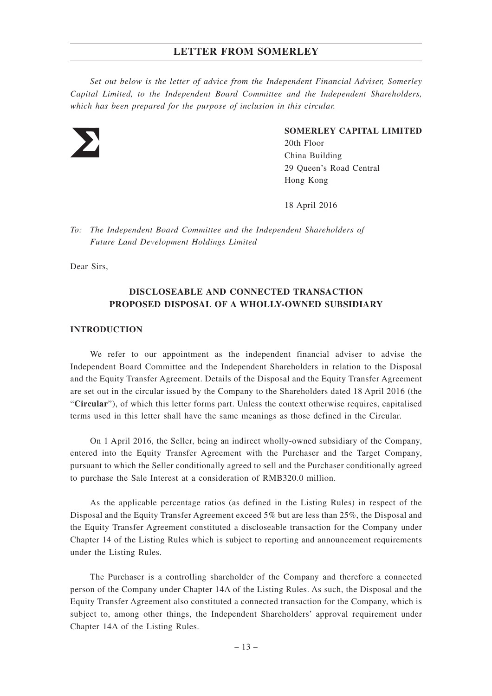*Set out below is the letter of advice from the Independent Financial Adviser, Somerley Capital Limited, to the Independent Board Committee and the Independent Shareholders, which has been prepared for the purpose of inclusion in this circular.*



#### **SOMERLEY CAPITAL LIMITED**

20th Floor China Building 29 Queen's Road Central Hong Kong

18 April 2016

*To: The Independent Board Committee and the Independent Shareholders of Future Land Development Holdings Limited*

Dear Sirs,

## **DISCLOSEABLE AND CONNECTED TRANSACTION PROPOSED DISPOSAL OF A WHOLLY-OWNED SUBSIDIARY**

## **INTRODUCTION**

We refer to our appointment as the independent financial adviser to advise the Independent Board Committee and the Independent Shareholders in relation to the Disposal and the Equity Transfer Agreement. Details of the Disposal and the Equity Transfer Agreement are set out in the circular issued by the Company to the Shareholders dated 18 April 2016 (the "**Circular**"), of which this letter forms part. Unless the context otherwise requires, capitalised terms used in this letter shall have the same meanings as those defined in the Circular.

On 1 April 2016, the Seller, being an indirect wholly-owned subsidiary of the Company, entered into the Equity Transfer Agreement with the Purchaser and the Target Company, pursuant to which the Seller conditionally agreed to sell and the Purchaser conditionally agreed to purchase the Sale Interest at a consideration of RMB320.0 million.

As the applicable percentage ratios (as defined in the Listing Rules) in respect of the Disposal and the Equity Transfer Agreement exceed 5% but are less than 25%, the Disposal and the Equity Transfer Agreement constituted a discloseable transaction for the Company under Chapter 14 of the Listing Rules which is subject to reporting and announcement requirements under the Listing Rules.

The Purchaser is a controlling shareholder of the Company and therefore a connected person of the Company under Chapter 14A of the Listing Rules. As such, the Disposal and the Equity Transfer Agreement also constituted a connected transaction for the Company, which is subject to, among other things, the Independent Shareholders' approval requirement under Chapter 14A of the Listing Rules.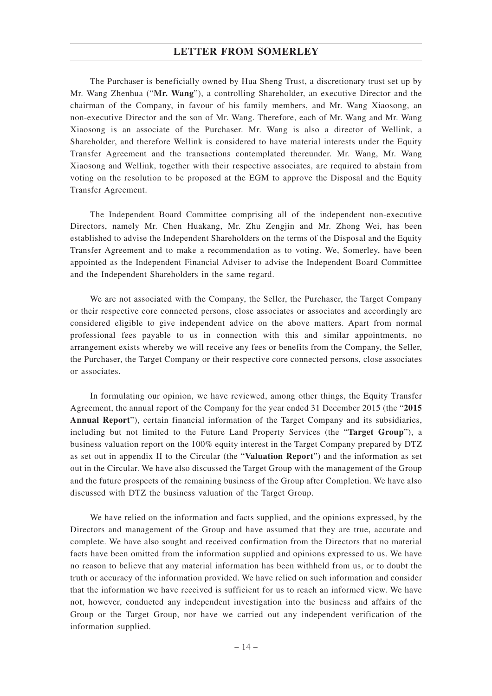The Purchaser is beneficially owned by Hua Sheng Trust, a discretionary trust set up by Mr. Wang Zhenhua ("**Mr. Wang**"), a controlling Shareholder, an executive Director and the chairman of the Company, in favour of his family members, and Mr. Wang Xiaosong, an non-executive Director and the son of Mr. Wang. Therefore, each of Mr. Wang and Mr. Wang Xiaosong is an associate of the Purchaser. Mr. Wang is also a director of Wellink, a Shareholder, and therefore Wellink is considered to have material interests under the Equity Transfer Agreement and the transactions contemplated thereunder. Mr. Wang, Mr. Wang Xiaosong and Wellink, together with their respective associates, are required to abstain from voting on the resolution to be proposed at the EGM to approve the Disposal and the Equity Transfer Agreement.

The Independent Board Committee comprising all of the independent non-executive Directors, namely Mr. Chen Huakang, Mr. Zhu Zengjin and Mr. Zhong Wei, has been established to advise the Independent Shareholders on the terms of the Disposal and the Equity Transfer Agreement and to make a recommendation as to voting. We, Somerley, have been appointed as the Independent Financial Adviser to advise the Independent Board Committee and the Independent Shareholders in the same regard.

We are not associated with the Company, the Seller, the Purchaser, the Target Company or their respective core connected persons, close associates or associates and accordingly are considered eligible to give independent advice on the above matters. Apart from normal professional fees payable to us in connection with this and similar appointments, no arrangement exists whereby we will receive any fees or benefits from the Company, the Seller, the Purchaser, the Target Company or their respective core connected persons, close associates or associates.

In formulating our opinion, we have reviewed, among other things, the Equity Transfer Agreement, the annual report of the Company for the year ended 31 December 2015 (the "**2015 Annual Report**"), certain financial information of the Target Company and its subsidiaries, including but not limited to the Future Land Property Services (the "**Target Group**"), a business valuation report on the 100% equity interest in the Target Company prepared by DTZ as set out in appendix II to the Circular (the "**Valuation Report**") and the information as set out in the Circular. We have also discussed the Target Group with the management of the Group and the future prospects of the remaining business of the Group after Completion. We have also discussed with DTZ the business valuation of the Target Group.

We have relied on the information and facts supplied, and the opinions expressed, by the Directors and management of the Group and have assumed that they are true, accurate and complete. We have also sought and received confirmation from the Directors that no material facts have been omitted from the information supplied and opinions expressed to us. We have no reason to believe that any material information has been withheld from us, or to doubt the truth or accuracy of the information provided. We have relied on such information and consider that the information we have received is sufficient for us to reach an informed view. We have not, however, conducted any independent investigation into the business and affairs of the Group or the Target Group, nor have we carried out any independent verification of the information supplied.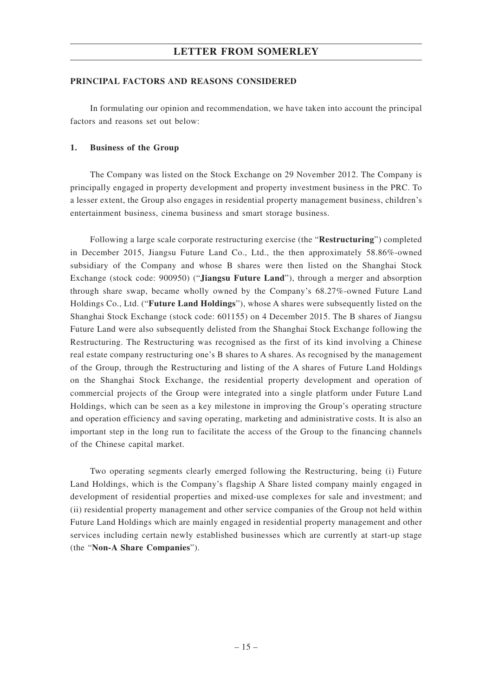#### **PRINCIPAL FACTORS AND REASONS CONSIDERED**

In formulating our opinion and recommendation, we have taken into account the principal factors and reasons set out below:

#### **1. Business of the Group**

The Company was listed on the Stock Exchange on 29 November 2012. The Company is principally engaged in property development and property investment business in the PRC. To a lesser extent, the Group also engages in residential property management business, children's entertainment business, cinema business and smart storage business.

Following a large scale corporate restructuring exercise (the "**Restructuring**") completed in December 2015, Jiangsu Future Land Co., Ltd., the then approximately 58.86%-owned subsidiary of the Company and whose B shares were then listed on the Shanghai Stock Exchange (stock code: 900950) ("**Jiangsu Future Land**"), through a merger and absorption through share swap, became wholly owned by the Company's 68.27%-owned Future Land Holdings Co., Ltd. ("**Future Land Holdings**"), whose A shares were subsequently listed on the Shanghai Stock Exchange (stock code: 601155) on 4 December 2015. The B shares of Jiangsu Future Land were also subsequently delisted from the Shanghai Stock Exchange following the Restructuring. The Restructuring was recognised as the first of its kind involving a Chinese real estate company restructuring one's B shares to A shares. As recognised by the management of the Group, through the Restructuring and listing of the A shares of Future Land Holdings on the Shanghai Stock Exchange, the residential property development and operation of commercial projects of the Group were integrated into a single platform under Future Land Holdings, which can be seen as a key milestone in improving the Group's operating structure and operation efficiency and saving operating, marketing and administrative costs. It is also an important step in the long run to facilitate the access of the Group to the financing channels of the Chinese capital market.

Two operating segments clearly emerged following the Restructuring, being (i) Future Land Holdings, which is the Company's flagship A Share listed company mainly engaged in development of residential properties and mixed-use complexes for sale and investment; and (ii) residential property management and other service companies of the Group not held within Future Land Holdings which are mainly engaged in residential property management and other services including certain newly established businesses which are currently at start-up stage (the "**Non-A Share Companies**").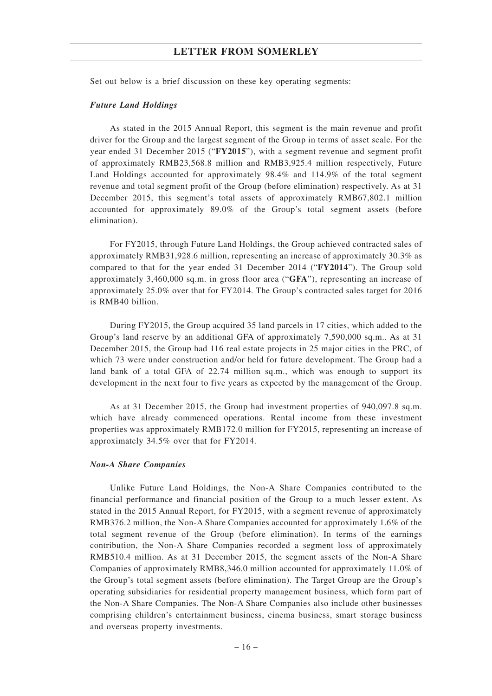Set out below is a brief discussion on these key operating segments:

#### *Future Land Holdings*

As stated in the 2015 Annual Report, this segment is the main revenue and profit driver for the Group and the largest segment of the Group in terms of asset scale. For the year ended 31 December 2015 ("**FY2015**"), with a segment revenue and segment profit of approximately RMB23,568.8 million and RMB3,925.4 million respectively, Future Land Holdings accounted for approximately 98.4% and 114.9% of the total segment revenue and total segment profit of the Group (before elimination) respectively. As at 31 December 2015, this segment's total assets of approximately RMB67,802.1 million accounted for approximately 89.0% of the Group's total segment assets (before elimination).

For FY2015, through Future Land Holdings, the Group achieved contracted sales of approximately RMB31,928.6 million, representing an increase of approximately 30.3% as compared to that for the year ended 31 December 2014 ("**FY2014**"). The Group sold approximately 3,460,000 sq.m. in gross floor area ("**GFA**"), representing an increase of approximately 25.0% over that for FY2014. The Group's contracted sales target for 2016 is RMB40 billion.

During FY2015, the Group acquired 35 land parcels in 17 cities, which added to the Group's land reserve by an additional GFA of approximately 7,590,000 sq.m.. As at 31 December 2015, the Group had 116 real estate projects in 25 major cities in the PRC, of which 73 were under construction and/or held for future development. The Group had a land bank of a total GFA of 22.74 million sq.m., which was enough to support its development in the next four to five years as expected by the management of the Group.

As at 31 December 2015, the Group had investment properties of 940,097.8 sq.m. which have already commenced operations. Rental income from these investment properties was approximately RMB172.0 million for FY2015, representing an increase of approximately 34.5% over that for FY2014.

#### *Non-A Share Companies*

Unlike Future Land Holdings, the Non-A Share Companies contributed to the financial performance and financial position of the Group to a much lesser extent. As stated in the 2015 Annual Report, for FY2015, with a segment revenue of approximately RMB376.2 million, the Non-A Share Companies accounted for approximately 1.6% of the total segment revenue of the Group (before elimination). In terms of the earnings contribution, the Non-A Share Companies recorded a segment loss of approximately RMB510.4 million. As at 31 December 2015, the segment assets of the Non-A Share Companies of approximately RMB8,346.0 million accounted for approximately 11.0% of the Group's total segment assets (before elimination). The Target Group are the Group's operating subsidiaries for residential property management business, which form part of the Non-A Share Companies. The Non-A Share Companies also include other businesses comprising children's entertainment business, cinema business, smart storage business and overseas property investments.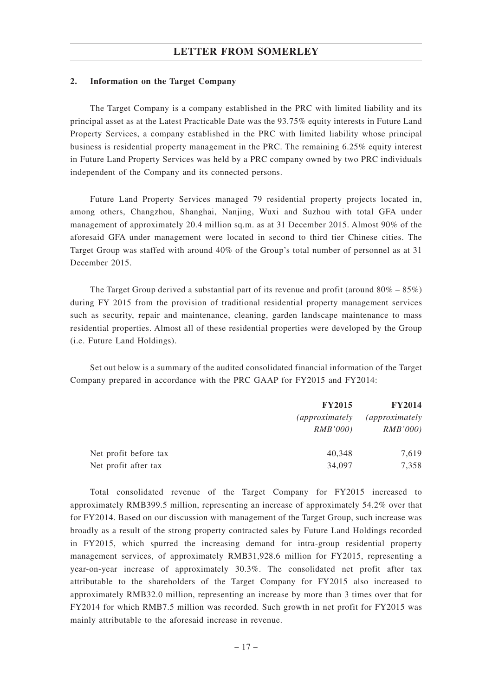#### **2. Information on the Target Company**

The Target Company is a company established in the PRC with limited liability and its principal asset as at the Latest Practicable Date was the 93.75% equity interests in Future Land Property Services, a company established in the PRC with limited liability whose principal business is residential property management in the PRC. The remaining 6.25% equity interest in Future Land Property Services was held by a PRC company owned by two PRC individuals independent of the Company and its connected persons.

Future Land Property Services managed 79 residential property projects located in, among others, Changzhou, Shanghai, Nanjing, Wuxi and Suzhou with total GFA under management of approximately 20.4 million sq.m. as at 31 December 2015. Almost 90% of the aforesaid GFA under management were located in second to third tier Chinese cities. The Target Group was staffed with around 40% of the Group's total number of personnel as at 31 December 2015.

The Target Group derived a substantial part of its revenue and profit (around  $80\% - 85\%$ ) during FY 2015 from the provision of traditional residential property management services such as security, repair and maintenance, cleaning, garden landscape maintenance to mass residential properties. Almost all of these residential properties were developed by the Group (i.e. Future Land Holdings).

Set out below is a summary of the audited consolidated financial information of the Target Company prepared in accordance with the PRC GAAP for FY2015 and FY2014:

|                       | <b>FY2015</b>                     | <b>FY2014</b>                     |
|-----------------------|-----------------------------------|-----------------------------------|
|                       | <i>(approximately)</i><br>RMB'000 | <i>(approximately)</i><br>RMB'000 |
| Net profit before tax | 40,348                            | 7,619                             |
| Net profit after tax  | 34,097                            | 7,358                             |

Total consolidated revenue of the Target Company for FY2015 increased to approximately RMB399.5 million, representing an increase of approximately 54.2% over that for FY2014. Based on our discussion with management of the Target Group, such increase was broadly as a result of the strong property contracted sales by Future Land Holdings recorded in FY2015, which spurred the increasing demand for intra-group residential property management services, of approximately RMB31,928.6 million for FY2015, representing a year-on-year increase of approximately 30.3%. The consolidated net profit after tax attributable to the shareholders of the Target Company for FY2015 also increased to approximately RMB32.0 million, representing an increase by more than 3 times over that for FY2014 for which RMB7.5 million was recorded. Such growth in net profit for FY2015 was mainly attributable to the aforesaid increase in revenue.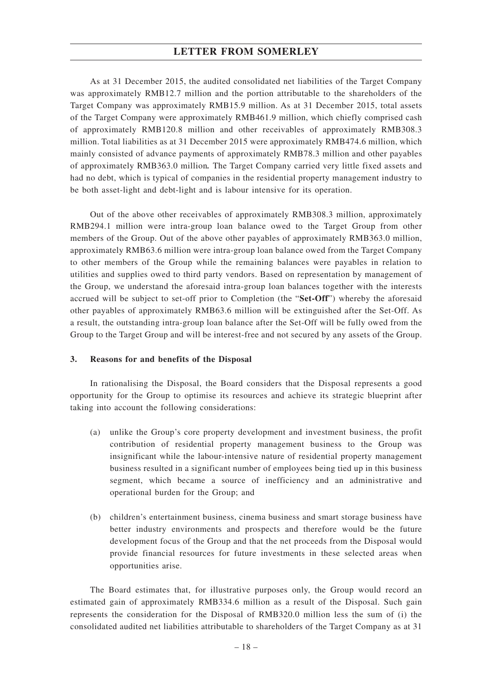As at 31 December 2015, the audited consolidated net liabilities of the Target Company was approximately RMB12.7 million and the portion attributable to the shareholders of the Target Company was approximately RMB15.9 million. As at 31 December 2015, total assets of the Target Company were approximately RMB461.9 million, which chiefly comprised cash of approximately RMB120.8 million and other receivables of approximately RMB308.3 million. Total liabilities as at 31 December 2015 were approximately RMB474.6 million, which mainly consisted of advance payments of approximately RMB78.3 million and other payables of approximately RMB363.0 million*.* The Target Company carried very little fixed assets and had no debt, which is typical of companies in the residential property management industry to be both asset-light and debt-light and is labour intensive for its operation.

Out of the above other receivables of approximately RMB308.3 million, approximately RMB294.1 million were intra-group loan balance owed to the Target Group from other members of the Group. Out of the above other payables of approximately RMB363.0 million, approximately RMB63.6 million were intra-group loan balance owed from the Target Company to other members of the Group while the remaining balances were payables in relation to utilities and supplies owed to third party vendors. Based on representation by management of the Group, we understand the aforesaid intra-group loan balances together with the interests accrued will be subject to set-off prior to Completion (the "**Set-Off**") whereby the aforesaid other payables of approximately RMB63.6 million will be extinguished after the Set-Off. As a result, the outstanding intra-group loan balance after the Set-Off will be fully owed from the Group to the Target Group and will be interest-free and not secured by any assets of the Group.

#### **3. Reasons for and benefits of the Disposal**

In rationalising the Disposal, the Board considers that the Disposal represents a good opportunity for the Group to optimise its resources and achieve its strategic blueprint after taking into account the following considerations:

- (a) unlike the Group's core property development and investment business, the profit contribution of residential property management business to the Group was insignificant while the labour-intensive nature of residential property management business resulted in a significant number of employees being tied up in this business segment, which became a source of inefficiency and an administrative and operational burden for the Group; and
- (b) children's entertainment business, cinema business and smart storage business have better industry environments and prospects and therefore would be the future development focus of the Group and that the net proceeds from the Disposal would provide financial resources for future investments in these selected areas when opportunities arise.

The Board estimates that, for illustrative purposes only, the Group would record an estimated gain of approximately RMB334.6 million as a result of the Disposal. Such gain represents the consideration for the Disposal of RMB320.0 million less the sum of (i) the consolidated audited net liabilities attributable to shareholders of the Target Company as at 31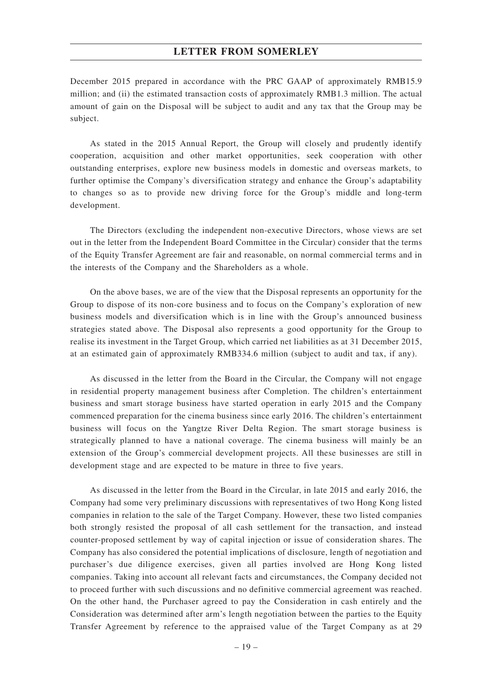December 2015 prepared in accordance with the PRC GAAP of approximately RMB15.9 million; and (ii) the estimated transaction costs of approximately RMB1.3 million. The actual amount of gain on the Disposal will be subject to audit and any tax that the Group may be subject.

As stated in the 2015 Annual Report, the Group will closely and prudently identify cooperation, acquisition and other market opportunities, seek cooperation with other outstanding enterprises, explore new business models in domestic and overseas markets, to further optimise the Company's diversification strategy and enhance the Group's adaptability to changes so as to provide new driving force for the Group's middle and long-term development.

The Directors (excluding the independent non-executive Directors, whose views are set out in the letter from the Independent Board Committee in the Circular) consider that the terms of the Equity Transfer Agreement are fair and reasonable, on normal commercial terms and in the interests of the Company and the Shareholders as a whole.

On the above bases, we are of the view that the Disposal represents an opportunity for the Group to dispose of its non-core business and to focus on the Company's exploration of new business models and diversification which is in line with the Group's announced business strategies stated above. The Disposal also represents a good opportunity for the Group to realise its investment in the Target Group, which carried net liabilities as at 31 December 2015, at an estimated gain of approximately RMB334.6 million (subject to audit and tax, if any).

As discussed in the letter from the Board in the Circular, the Company will not engage in residential property management business after Completion. The children's entertainment business and smart storage business have started operation in early 2015 and the Company commenced preparation for the cinema business since early 2016. The children's entertainment business will focus on the Yangtze River Delta Region. The smart storage business is strategically planned to have a national coverage. The cinema business will mainly be an extension of the Group's commercial development projects. All these businesses are still in development stage and are expected to be mature in three to five years.

As discussed in the letter from the Board in the Circular, in late 2015 and early 2016, the Company had some very preliminary discussions with representatives of two Hong Kong listed companies in relation to the sale of the Target Company. However, these two listed companies both strongly resisted the proposal of all cash settlement for the transaction, and instead counter-proposed settlement by way of capital injection or issue of consideration shares. The Company has also considered the potential implications of disclosure, length of negotiation and purchaser's due diligence exercises, given all parties involved are Hong Kong listed companies. Taking into account all relevant facts and circumstances, the Company decided not to proceed further with such discussions and no definitive commercial agreement was reached. On the other hand, the Purchaser agreed to pay the Consideration in cash entirely and the Consideration was determined after arm's length negotiation between the parties to the Equity Transfer Agreement by reference to the appraised value of the Target Company as at 29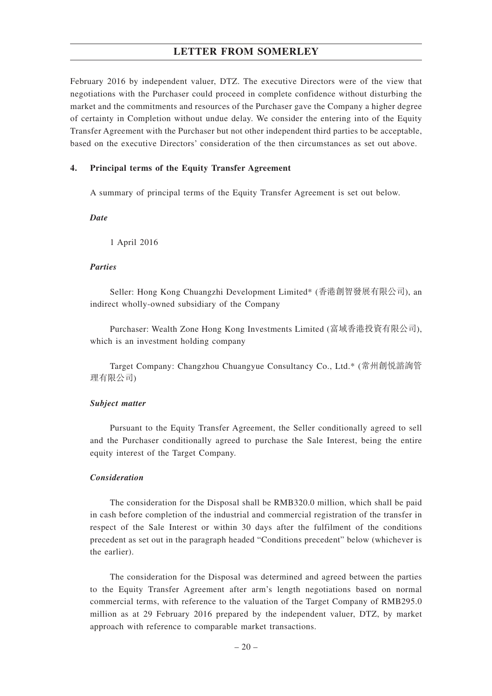February 2016 by independent valuer, DTZ. The executive Directors were of the view that negotiations with the Purchaser could proceed in complete confidence without disturbing the market and the commitments and resources of the Purchaser gave the Company a higher degree of certainty in Completion without undue delay. We consider the entering into of the Equity Transfer Agreement with the Purchaser but not other independent third parties to be acceptable, based on the executive Directors' consideration of the then circumstances as set out above.

### **4. Principal terms of the Equity Transfer Agreement**

A summary of principal terms of the Equity Transfer Agreement is set out below.

*Date*

1 April 2016

#### *Parties*

Seller: Hong Kong Chuangzhi Development Limited\* (香港創智發展有限公司), an indirect wholly-owned subsidiary of the Company

Purchaser: Wealth Zone Hong Kong Investments Limited (富域香港投資有限公司), which is an investment holding company

Target Company: Changzhou Chuangyue Consultancy Co., Ltd.\* (常州創悅諮詢管 理有限公司)

#### *Subject matter*

Pursuant to the Equity Transfer Agreement, the Seller conditionally agreed to sell and the Purchaser conditionally agreed to purchase the Sale Interest, being the entire equity interest of the Target Company.

#### *Consideration*

The consideration for the Disposal shall be RMB320.0 million, which shall be paid in cash before completion of the industrial and commercial registration of the transfer in respect of the Sale Interest or within 30 days after the fulfilment of the conditions precedent as set out in the paragraph headed "Conditions precedent" below (whichever is the earlier).

The consideration for the Disposal was determined and agreed between the parties to the Equity Transfer Agreement after arm's length negotiations based on normal commercial terms, with reference to the valuation of the Target Company of RMB295.0 million as at 29 February 2016 prepared by the independent valuer, DTZ, by market approach with reference to comparable market transactions.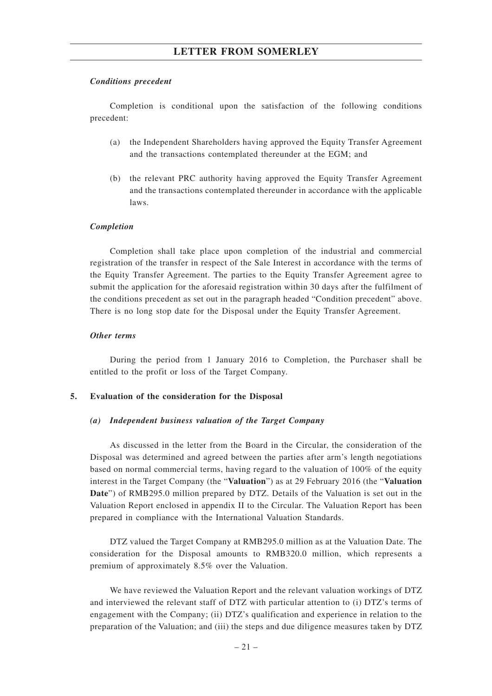#### *Conditions precedent*

Completion is conditional upon the satisfaction of the following conditions precedent:

- (a) the Independent Shareholders having approved the Equity Transfer Agreement and the transactions contemplated thereunder at the EGM; and
- (b) the relevant PRC authority having approved the Equity Transfer Agreement and the transactions contemplated thereunder in accordance with the applicable laws.

#### *Completion*

Completion shall take place upon completion of the industrial and commercial registration of the transfer in respect of the Sale Interest in accordance with the terms of the Equity Transfer Agreement. The parties to the Equity Transfer Agreement agree to submit the application for the aforesaid registration within 30 days after the fulfilment of the conditions precedent as set out in the paragraph headed "Condition precedent" above. There is no long stop date for the Disposal under the Equity Transfer Agreement.

#### *Other terms*

During the period from 1 January 2016 to Completion, the Purchaser shall be entitled to the profit or loss of the Target Company.

#### **5. Evaluation of the consideration for the Disposal**

#### *(a) Independent business valuation of the Target Company*

As discussed in the letter from the Board in the Circular, the consideration of the Disposal was determined and agreed between the parties after arm's length negotiations based on normal commercial terms, having regard to the valuation of 100% of the equity interest in the Target Company (the "**Valuation**") as at 29 February 2016 (the "**Valuation Date**") of RMB295.0 million prepared by DTZ. Details of the Valuation is set out in the Valuation Report enclosed in appendix II to the Circular. The Valuation Report has been prepared in compliance with the International Valuation Standards.

DTZ valued the Target Company at RMB295.0 million as at the Valuation Date. The consideration for the Disposal amounts to RMB320.0 million, which represents a premium of approximately 8.5% over the Valuation.

We have reviewed the Valuation Report and the relevant valuation workings of DTZ and interviewed the relevant staff of DTZ with particular attention to (i) DTZ's terms of engagement with the Company; (ii) DTZ's qualification and experience in relation to the preparation of the Valuation; and (iii) the steps and due diligence measures taken by DTZ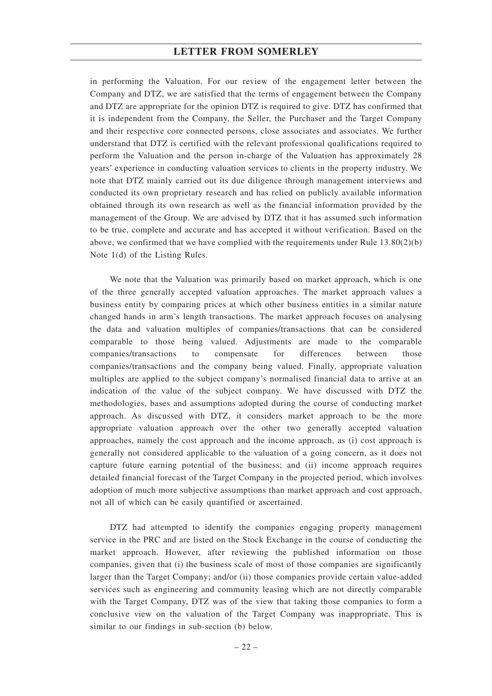in performing the Valuation. For our review of the engagement letter between the Company and DTZ, we are satisfied that the terms of engagement between the Company and DTZ are appropriate for the opinion DTZ is required to give. DTZ has confirmed that it is independent from the Company, the Seller, the Purchaser and the Target Company and their respective core connected persons, close associates and associates. We further understand that DTZ is certified with the relevant professional qualifications required to perform the Valuation and the person in-charge of the Valuation has approximately 28 years' experience in conducting valuation services to clients in the property industry. We note that DTZ mainly carried out its due diligence through management interviews and conducted its own proprietary research and has relied on publicly available information obtained through its own research as well as the financial information provided by the management of the Group. We are advised by DTZ that it has assumed such information to be true, complete and accurate and has accepted it without verification. Based on the above, we confirmed that we have complied with the requirements under Rule 13.80(2)(b) Note 1(d) of the Listing Rules.

We note that the Valuation was primarily based on market approach, which is one of the three generally accepted valuation approaches. The market approach values a business entity by comparing prices at which other business entities in a similar nature changed hands in arm's length transactions. The market approach focuses on analysing the data and valuation multiples of companies/transactions that can be considered comparable to those being valued. Adjustments are made to the comparable companies/transactions to compensate for differences between those companies/transactions and the company being valued. Finally, appropriate valuation multiples are applied to the subject company's normalised financial data to arrive at an indication of the value of the subject company. We have discussed with DTZ the methodologies, bases and assumptions adopted during the course of conducting market approach. As discussed with DTZ, it considers market approach to be the more appropriate valuation approach over the other two generally accepted valuation approaches, namely the cost approach and the income approach, as (i) cost approach is generally not considered applicable to the valuation of a going concern, as it does not capture future earning potential of the business; and (ii) income approach requires detailed financial forecast of the Target Company in the projected period, which involves adoption of much more subjective assumptions than market approach and cost approach, not all of which can be easily quantified or ascertained.

DTZ had attempted to identify the companies engaging property management service in the PRC and are listed on the Stock Exchange in the course of conducting the market approach. However, after reviewing the published information on those companies, given that (i) the business scale of most of those companies are significantly larger than the Target Company; and/or (ii) those companies provide certain value-added services such as engineering and community leasing which are not directly comparable with the Target Company, DTZ was of the view that taking those companies to form a conclusive view on the valuation of the Target Company was inappropriate. This is similar to our findings in sub-section (b) below.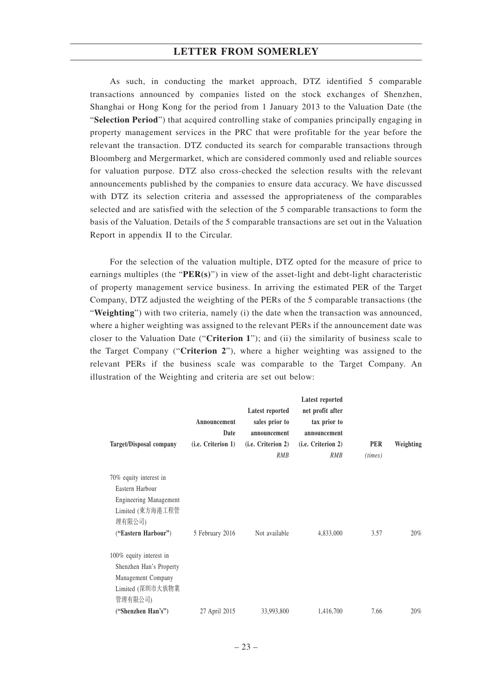As such, in conducting the market approach, DTZ identified 5 comparable transactions announced by companies listed on the stock exchanges of Shenzhen, Shanghai or Hong Kong for the period from 1 January 2013 to the Valuation Date (the "**Selection Period**") that acquired controlling stake of companies principally engaging in property management services in the PRC that were profitable for the year before the relevant the transaction. DTZ conducted its search for comparable transactions through Bloomberg and Mergermarket, which are considered commonly used and reliable sources for valuation purpose. DTZ also cross-checked the selection results with the relevant announcements published by the companies to ensure data accuracy. We have discussed with DTZ its selection criteria and assessed the appropriateness of the comparables selected and are satisfied with the selection of the 5 comparable transactions to form the basis of the Valuation. Details of the 5 comparable transactions are set out in the Valuation Report in appendix II to the Circular.

For the selection of the valuation multiple, DTZ opted for the measure of price to earnings multiples (the "**PER(s)**") in view of the asset-light and debt-light characteristic of property management service business. In arriving the estimated PER of the Target Company, DTZ adjusted the weighting of the PERs of the 5 comparable transactions (the "Weighting") with two criteria, namely (i) the date when the transaction was announced, where a higher weighting was assigned to the relevant PERs if the announcement date was closer to the Valuation Date ("**Criterion 1**"); and (ii) the similarity of business scale to the Target Company ("**Criterion 2**"), where a higher weighting was assigned to the relevant PERs if the business scale was comparable to the Target Company. An illustration of the Weighting and criteria are set out below:

| <b>Target/Disposal company</b> | Announcement<br>Date<br>(i.e. Criterion 1) | Latest reported<br>sales prior to<br>announcement<br>(i.e. Criterion 2)<br><b>RMB</b> | Latest reported<br>net profit after<br>tax prior to<br>announcement<br>(i.e. Criterion 2)<br><b>RMB</b> | <b>PER</b><br>(times) | Weighting |
|--------------------------------|--------------------------------------------|---------------------------------------------------------------------------------------|---------------------------------------------------------------------------------------------------------|-----------------------|-----------|
| 70% equity interest in         |                                            |                                                                                       |                                                                                                         |                       |           |
| Eastern Harbour                |                                            |                                                                                       |                                                                                                         |                       |           |
| <b>Engineering Management</b>  |                                            |                                                                                       |                                                                                                         |                       |           |
| Limited (東方海港工程管<br>理有限公司)     |                                            |                                                                                       |                                                                                                         |                       |           |
| ("Eastern Harbour")            | 5 February 2016                            | Not available                                                                         | 4,833,000                                                                                               | 3.57                  | $20\%$    |
| 100% equity interest in        |                                            |                                                                                       |                                                                                                         |                       |           |
| Shenzhen Han's Property        |                                            |                                                                                       |                                                                                                         |                       |           |
| Management Company             |                                            |                                                                                       |                                                                                                         |                       |           |
| Limited (深圳市大族物業               |                                            |                                                                                       |                                                                                                         |                       |           |
| 管理有限公司)                        |                                            |                                                                                       |                                                                                                         |                       |           |
| ("Shenzhen Han's")             | 27 April 2015                              | 33,993,800                                                                            | 1,416,700                                                                                               | 7.66                  | $20\%$    |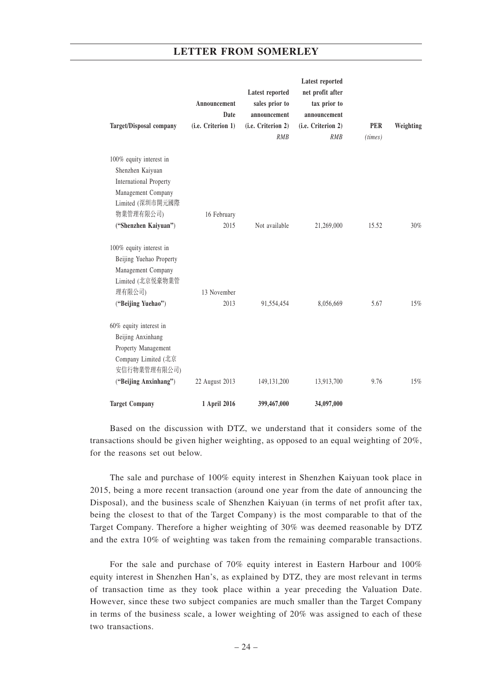|                                |                      | <b>Latest reported</b>         | <b>Latest reported</b><br>net profit after |            |           |
|--------------------------------|----------------------|--------------------------------|--------------------------------------------|------------|-----------|
|                                | Announcement<br>Date | sales prior to<br>announcement | tax prior to<br>announcement               |            |           |
| <b>Target/Disposal company</b> | (i.e. Criterion 1)   | (i.e. Criterion 2)             | (i.e. Criterion 2)                         | <b>PER</b> | Weighting |
|                                |                      | RMB                            | RMB                                        | (times)    |           |
| 100% equity interest in        |                      |                                |                                            |            |           |
| Shenzhen Kaiyuan               |                      |                                |                                            |            |           |
| <b>International Property</b>  |                      |                                |                                            |            |           |
| Management Company             |                      |                                |                                            |            |           |
| Limited (深圳市開元國際               |                      |                                |                                            |            |           |
| 物業管理有限公司)                      | 16 February          |                                |                                            |            |           |
| ("Shenzhen Kaiyuan")           | 2015                 | Not available                  | 21,269,000                                 | 15.52      | 30%       |
| 100% equity interest in        |                      |                                |                                            |            |           |
| Beijing Yuehao Property        |                      |                                |                                            |            |           |
| Management Company             |                      |                                |                                            |            |           |
| Limited (北京悦豪物業管               |                      |                                |                                            |            |           |
| 理有限公司)                         | 13 November          |                                |                                            |            |           |
| ("Beijing Yuehao")             | 2013                 | 91,554,454                     | 8,056,669                                  | 5.67       | $15\%$    |
| 60% equity interest in         |                      |                                |                                            |            |           |
| Beijing Anxinhang              |                      |                                |                                            |            |           |
| Property Management            |                      |                                |                                            |            |           |
| Company Limited (北京            |                      |                                |                                            |            |           |
| 安信行物業管理有限公司)                   |                      |                                |                                            |            |           |
| ("Beijing Anxinhang")          | 22 August 2013       | 149, 131, 200                  | 13,913,700                                 | 9.76       | 15%       |
| <b>Target Company</b>          | 1 April 2016         | 399,467,000                    | 34,097,000                                 |            |           |

Based on the discussion with DTZ, we understand that it considers some of the transactions should be given higher weighting, as opposed to an equal weighting of 20%, for the reasons set out below.

The sale and purchase of 100% equity interest in Shenzhen Kaiyuan took place in 2015, being a more recent transaction (around one year from the date of announcing the Disposal), and the business scale of Shenzhen Kaiyuan (in terms of net profit after tax, being the closest to that of the Target Company) is the most comparable to that of the Target Company. Therefore a higher weighting of 30% was deemed reasonable by DTZ and the extra 10% of weighting was taken from the remaining comparable transactions.

For the sale and purchase of 70% equity interest in Eastern Harbour and 100% equity interest in Shenzhen Han's, as explained by DTZ, they are most relevant in terms of transaction time as they took place within a year preceding the Valuation Date. However, since these two subject companies are much smaller than the Target Company in terms of the business scale, a lower weighting of 20% was assigned to each of these two transactions.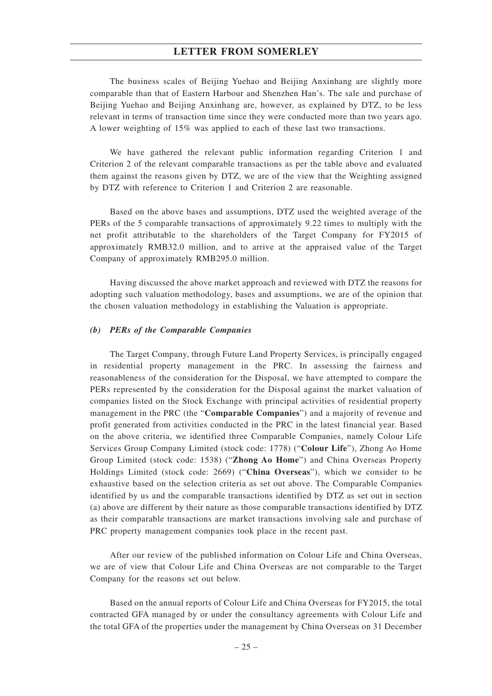The business scales of Beijing Yuehao and Beijing Anxinhang are slightly more comparable than that of Eastern Harbour and Shenzhen Han's. The sale and purchase of Beijing Yuehao and Beijing Anxinhang are, however, as explained by DTZ, to be less relevant in terms of transaction time since they were conducted more than two years ago. A lower weighting of 15% was applied to each of these last two transactions.

We have gathered the relevant public information regarding Criterion 1 and Criterion 2 of the relevant comparable transactions as per the table above and evaluated them against the reasons given by DTZ, we are of the view that the Weighting assigned by DTZ with reference to Criterion 1 and Criterion 2 are reasonable.

Based on the above bases and assumptions, DTZ used the weighted average of the PERs of the 5 comparable transactions of approximately 9.22 times to multiply with the net profit attributable to the shareholders of the Target Company for FY2015 of approximately RMB32.0 million, and to arrive at the appraised value of the Target Company of approximately RMB295.0 million.

Having discussed the above market approach and reviewed with DTZ the reasons for adopting such valuation methodology, bases and assumptions, we are of the opinion that the chosen valuation methodology in establishing the Valuation is appropriate.

#### *(b) PERs of the Comparable Companies*

The Target Company, through Future Land Property Services, is principally engaged in residential property management in the PRC. In assessing the fairness and reasonableness of the consideration for the Disposal, we have attempted to compare the PERs represented by the consideration for the Disposal against the market valuation of companies listed on the Stock Exchange with principal activities of residential property management in the PRC (the "**Comparable Companies**") and a majority of revenue and profit generated from activities conducted in the PRC in the latest financial year. Based on the above criteria, we identified three Comparable Companies, namely Colour Life Services Group Company Limited (stock code: 1778) ("**Colour Life**"), Zhong Ao Home Group Limited (stock code: 1538) ("**Zhong Ao Home**") and China Overseas Property Holdings Limited (stock code: 2669) ("**China Overseas**"), which we consider to be exhaustive based on the selection criteria as set out above. The Comparable Companies identified by us and the comparable transactions identified by DTZ as set out in section (a) above are different by their nature as those comparable transactions identified by DTZ as their comparable transactions are market transactions involving sale and purchase of PRC property management companies took place in the recent past.

After our review of the published information on Colour Life and China Overseas, we are of view that Colour Life and China Overseas are not comparable to the Target Company for the reasons set out below.

Based on the annual reports of Colour Life and China Overseas for FY2015, the total contracted GFA managed by or under the consultancy agreements with Colour Life and the total GFA of the properties under the management by China Overseas on 31 December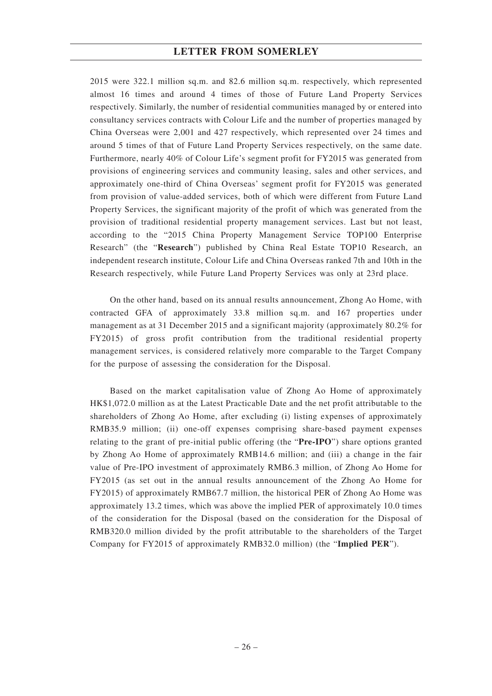2015 were 322.1 million sq.m. and 82.6 million sq.m. respectively, which represented almost 16 times and around 4 times of those of Future Land Property Services respectively. Similarly, the number of residential communities managed by or entered into consultancy services contracts with Colour Life and the number of properties managed by China Overseas were 2,001 and 427 respectively, which represented over 24 times and around 5 times of that of Future Land Property Services respectively, on the same date. Furthermore, nearly 40% of Colour Life's segment profit for FY2015 was generated from provisions of engineering services and community leasing, sales and other services, and approximately one-third of China Overseas' segment profit for FY2015 was generated from provision of value-added services, both of which were different from Future Land Property Services, the significant majority of the profit of which was generated from the provision of traditional residential property management services. Last but not least, according to the "2015 China Property Management Service TOP100 Enterprise Research" (the "**Research**") published by China Real Estate TOP10 Research, an independent research institute, Colour Life and China Overseas ranked 7th and 10th in the Research respectively, while Future Land Property Services was only at 23rd place.

On the other hand, based on its annual results announcement, Zhong Ao Home, with contracted GFA of approximately 33.8 million sq.m. and 167 properties under management as at 31 December 2015 and a significant majority (approximately 80.2% for FY2015) of gross profit contribution from the traditional residential property management services, is considered relatively more comparable to the Target Company for the purpose of assessing the consideration for the Disposal.

Based on the market capitalisation value of Zhong Ao Home of approximately HK\$1,072.0 million as at the Latest Practicable Date and the net profit attributable to the shareholders of Zhong Ao Home, after excluding (i) listing expenses of approximately RMB35.9 million; (ii) one-off expenses comprising share-based payment expenses relating to the grant of pre-initial public offering (the "**Pre-IPO**") share options granted by Zhong Ao Home of approximately RMB14.6 million; and (iii) a change in the fair value of Pre-IPO investment of approximately RMB6.3 million, of Zhong Ao Home for FY2015 (as set out in the annual results announcement of the Zhong Ao Home for FY2015) of approximately RMB67.7 million, the historical PER of Zhong Ao Home was approximately 13.2 times, which was above the implied PER of approximately 10.0 times of the consideration for the Disposal (based on the consideration for the Disposal of RMB320.0 million divided by the profit attributable to the shareholders of the Target Company for FY2015 of approximately RMB32.0 million) (the "**Implied PER**").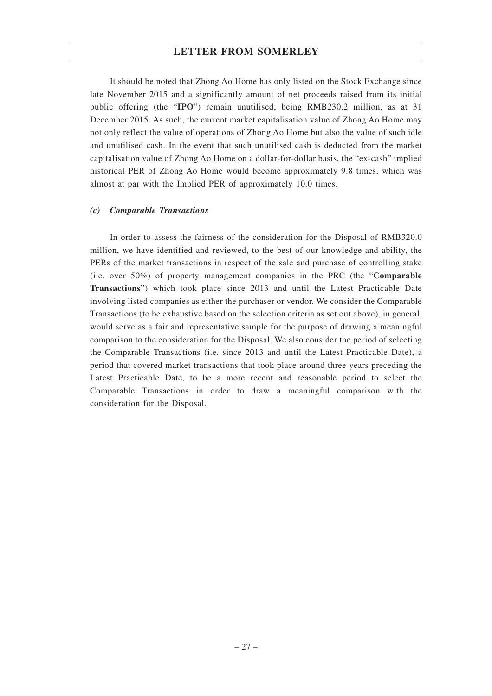It should be noted that Zhong Ao Home has only listed on the Stock Exchange since late November 2015 and a significantly amount of net proceeds raised from its initial public offering (the "**IPO**") remain unutilised, being RMB230.2 million, as at 31 December 2015. As such, the current market capitalisation value of Zhong Ao Home may not only reflect the value of operations of Zhong Ao Home but also the value of such idle and unutilised cash. In the event that such unutilised cash is deducted from the market capitalisation value of Zhong Ao Home on a dollar-for-dollar basis, the "ex-cash" implied historical PER of Zhong Ao Home would become approximately 9.8 times, which was almost at par with the Implied PER of approximately 10.0 times.

### *(c) Comparable Transactions*

In order to assess the fairness of the consideration for the Disposal of RMB320.0 million, we have identified and reviewed, to the best of our knowledge and ability, the PERs of the market transactions in respect of the sale and purchase of controlling stake (i.e. over 50%) of property management companies in the PRC (the "**Comparable Transactions**") which took place since 2013 and until the Latest Practicable Date involving listed companies as either the purchaser or vendor. We consider the Comparable Transactions (to be exhaustive based on the selection criteria as set out above), in general, would serve as a fair and representative sample for the purpose of drawing a meaningful comparison to the consideration for the Disposal. We also consider the period of selecting the Comparable Transactions (i.e. since 2013 and until the Latest Practicable Date), a period that covered market transactions that took place around three years preceding the Latest Practicable Date, to be a more recent and reasonable period to select the Comparable Transactions in order to draw a meaningful comparison with the consideration for the Disposal.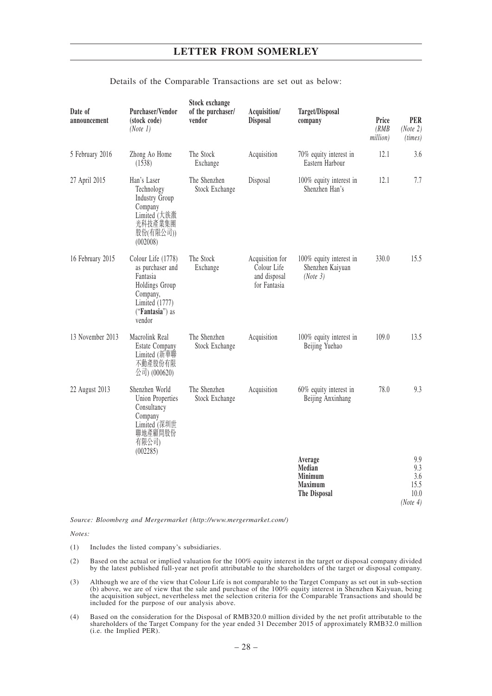| Date of<br>announcement | Purchaser/Vendor<br>(stock code)<br>(Note 1)                                                                                    | Stock exchange<br>of the purchaser/<br>vendor | Acquisition/<br><b>Disposal</b>                                | Target/Disposal<br>company                                     | Price<br>(RMB)<br>million) | <b>PER</b><br>(Note 2)<br>(times) |
|-------------------------|---------------------------------------------------------------------------------------------------------------------------------|-----------------------------------------------|----------------------------------------------------------------|----------------------------------------------------------------|----------------------------|-----------------------------------|
| 5 February 2016         | Zhong Ao Home<br>(1538)                                                                                                         | The Stock<br>Exchange                         | Acquisition                                                    | 70% equity interest in<br>Eastern Harbour                      | 12.1                       | 3.6                               |
| 27 April 2015           | Han's Laser<br>Technology<br><b>Industry Group</b><br>Company<br>Limited (大族激<br>光科技產業集團<br>股份(有限公司))<br>(002008)               | The Shenzhen<br>Stock Exchange                | Disposal                                                       | 100% equity interest in<br>Shenzhen Han's                      | 12.1                       | 7.7                               |
| 16 February 2015        | Colour Life (1778)<br>as purchaser and<br>Fantasia<br>Holdings Group<br>Company,<br>Limited (1777)<br>("Fantasia") as<br>vendor | The Stock<br>Exchange                         | Acquisition for<br>Colour Life<br>and disposal<br>for Fantasia | 100% equity interest in<br>Shenzhen Kaiyuan<br>(Note 3)        | 330.0                      | 15.5                              |
| 13 November 2013        | Macrolink Real<br><b>Estate Company</b><br>Limited (新華聯<br>不動產股份有限<br>公司) (000620)                                              | The Shenzhen<br>Stock Exchange                | Acquisition                                                    | 100% equity interest in<br>Beijing Yuehao                      | 109.0                      | 13.5                              |
| 22 August 2013          | Shenzhen World<br>Union Properties<br>Consultancy<br>Company<br>Limited (深圳世<br>聯地產顧問股份<br>有限公司)<br>(002285)                    | The Shenzhen<br>Stock Exchange                | Acquisition                                                    | 60% equity interest in<br>Beijing Anxinhang                    | 78.0                       | 9.3                               |
|                         |                                                                                                                                 |                                               |                                                                | Average<br>Median<br>Minimum<br><b>Maximum</b><br>The Disposal |                            | 9.9<br>9.3<br>3.6<br>15.5<br>10.0 |

### Details of the Comparable Transactions are set out as below:

*Source: Bloomberg and Mergermarket (http://www.mergermarket.com/)*

*Notes:*

- (1) Includes the listed company's subsidiaries.
- (2) Based on the actual or implied valuation for the 100% equity interest in the target or disposal company divided by the latest published full-year net profit attributable to the shareholders of the target or disposal company.

*(Note 4)*

- (3) Although we are of the view that Colour Life is not comparable to the Target Company as set out in sub-section (b) above, we are of view that the sale and purchase of the 100% equity interest in Shenzhen Kaiyuan, being the acquisition subject, nevertheless met the selection criteria for the Comparable Transactions and should be included for the purpose of our analysis above.
- (4) Based on the consideration for the Disposal of RMB320.0 million divided by the net profit attributable to the shareholders of the Target Company for the year ended 31 December 2015 of approximately RMB32.0 million (i.e. the Implied PER).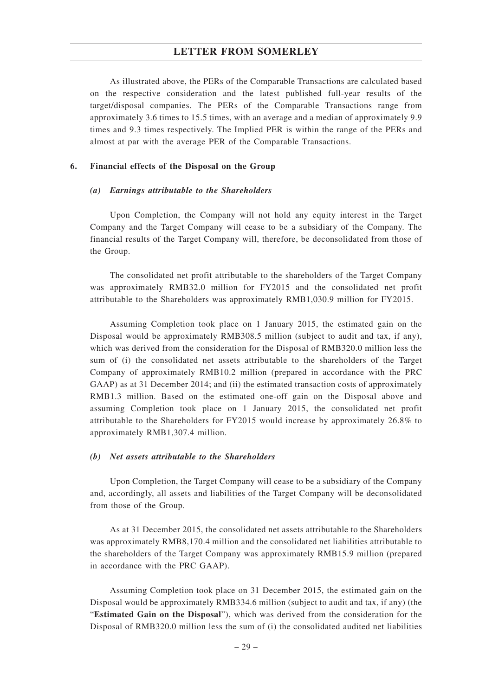As illustrated above, the PERs of the Comparable Transactions are calculated based on the respective consideration and the latest published full-year results of the target/disposal companies. The PERs of the Comparable Transactions range from approximately 3.6 times to 15.5 times, with an average and a median of approximately 9.9 times and 9.3 times respectively. The Implied PER is within the range of the PERs and almost at par with the average PER of the Comparable Transactions.

#### **6. Financial effects of the Disposal on the Group**

#### *(a) Earnings attributable to the Shareholders*

Upon Completion, the Company will not hold any equity interest in the Target Company and the Target Company will cease to be a subsidiary of the Company. The financial results of the Target Company will, therefore, be deconsolidated from those of the Group.

The consolidated net profit attributable to the shareholders of the Target Company was approximately RMB32.0 million for FY2015 and the consolidated net profit attributable to the Shareholders was approximately RMB1,030.9 million for FY2015.

Assuming Completion took place on 1 January 2015, the estimated gain on the Disposal would be approximately RMB308.5 million (subject to audit and tax, if any), which was derived from the consideration for the Disposal of RMB320.0 million less the sum of (i) the consolidated net assets attributable to the shareholders of the Target Company of approximately RMB10.2 million (prepared in accordance with the PRC GAAP) as at 31 December 2014; and (ii) the estimated transaction costs of approximately RMB1.3 million. Based on the estimated one-off gain on the Disposal above and assuming Completion took place on 1 January 2015, the consolidated net profit attributable to the Shareholders for FY2015 would increase by approximately 26.8% to approximately RMB1,307.4 million.

#### *(b) Net assets attributable to the Shareholders*

Upon Completion, the Target Company will cease to be a subsidiary of the Company and, accordingly, all assets and liabilities of the Target Company will be deconsolidated from those of the Group.

As at 31 December 2015, the consolidated net assets attributable to the Shareholders was approximately RMB8,170.4 million and the consolidated net liabilities attributable to the shareholders of the Target Company was approximately RMB15.9 million (prepared in accordance with the PRC GAAP).

Assuming Completion took place on 31 December 2015, the estimated gain on the Disposal would be approximately RMB334.6 million (subject to audit and tax, if any) (the "**Estimated Gain on the Disposal**"), which was derived from the consideration for the Disposal of RMB320.0 million less the sum of (i) the consolidated audited net liabilities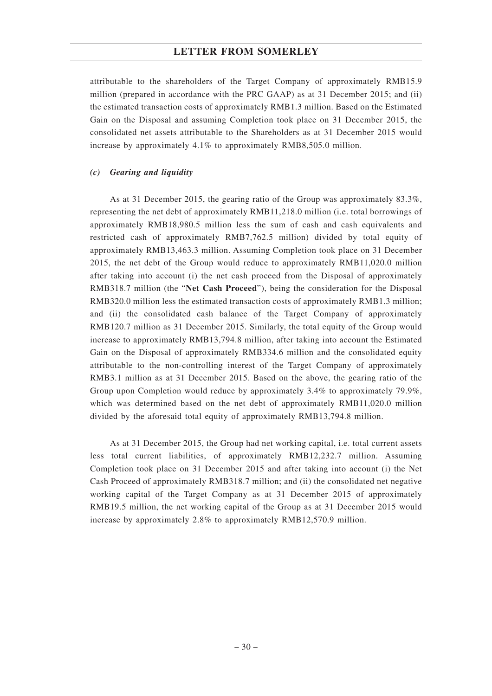attributable to the shareholders of the Target Company of approximately RMB15.9 million (prepared in accordance with the PRC GAAP) as at 31 December 2015; and (ii) the estimated transaction costs of approximately RMB1.3 million. Based on the Estimated Gain on the Disposal and assuming Completion took place on 31 December 2015, the consolidated net assets attributable to the Shareholders as at 31 December 2015 would increase by approximately 4.1% to approximately RMB8,505.0 million.

#### *(c) Gearing and liquidity*

As at 31 December 2015, the gearing ratio of the Group was approximately 83.3%, representing the net debt of approximately RMB11,218.0 million (i.e. total borrowings of approximately RMB18,980.5 million less the sum of cash and cash equivalents and restricted cash of approximately RMB7,762.5 million) divided by total equity of approximately RMB13,463.3 million. Assuming Completion took place on 31 December 2015, the net debt of the Group would reduce to approximately RMB11,020.0 million after taking into account (i) the net cash proceed from the Disposal of approximately RMB318.7 million (the "**Net Cash Proceed**"), being the consideration for the Disposal RMB320.0 million less the estimated transaction costs of approximately RMB1.3 million; and (ii) the consolidated cash balance of the Target Company of approximately RMB120.7 million as 31 December 2015. Similarly, the total equity of the Group would increase to approximately RMB13,794.8 million, after taking into account the Estimated Gain on the Disposal of approximately RMB334.6 million and the consolidated equity attributable to the non-controlling interest of the Target Company of approximately RMB3.1 million as at 31 December 2015. Based on the above, the gearing ratio of the Group upon Completion would reduce by approximately 3.4% to approximately 79.9%, which was determined based on the net debt of approximately RMB11,020.0 million divided by the aforesaid total equity of approximately RMB13,794.8 million.

As at 31 December 2015, the Group had net working capital, i.e. total current assets less total current liabilities, of approximately RMB12,232.7 million. Assuming Completion took place on 31 December 2015 and after taking into account (i) the Net Cash Proceed of approximately RMB318.7 million; and (ii) the consolidated net negative working capital of the Target Company as at 31 December 2015 of approximately RMB19.5 million, the net working capital of the Group as at 31 December 2015 would increase by approximately 2.8% to approximately RMB12,570.9 million.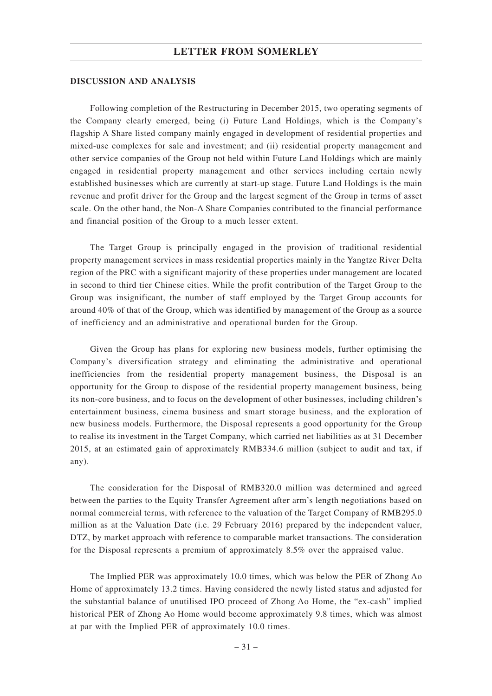#### **DISCUSSION AND ANALYSIS**

Following completion of the Restructuring in December 2015, two operating segments of the Company clearly emerged, being (i) Future Land Holdings, which is the Company's flagship A Share listed company mainly engaged in development of residential properties and mixed-use complexes for sale and investment; and (ii) residential property management and other service companies of the Group not held within Future Land Holdings which are mainly engaged in residential property management and other services including certain newly established businesses which are currently at start-up stage. Future Land Holdings is the main revenue and profit driver for the Group and the largest segment of the Group in terms of asset scale. On the other hand, the Non-A Share Companies contributed to the financial performance and financial position of the Group to a much lesser extent.

The Target Group is principally engaged in the provision of traditional residential property management services in mass residential properties mainly in the Yangtze River Delta region of the PRC with a significant majority of these properties under management are located in second to third tier Chinese cities. While the profit contribution of the Target Group to the Group was insignificant, the number of staff employed by the Target Group accounts for around 40% of that of the Group, which was identified by management of the Group as a source of inefficiency and an administrative and operational burden for the Group.

Given the Group has plans for exploring new business models, further optimising the Company's diversification strategy and eliminating the administrative and operational inefficiencies from the residential property management business, the Disposal is an opportunity for the Group to dispose of the residential property management business, being its non-core business, and to focus on the development of other businesses, including children's entertainment business, cinema business and smart storage business, and the exploration of new business models. Furthermore, the Disposal represents a good opportunity for the Group to realise its investment in the Target Company, which carried net liabilities as at 31 December 2015, at an estimated gain of approximately RMB334.6 million (subject to audit and tax, if any).

The consideration for the Disposal of RMB320.0 million was determined and agreed between the parties to the Equity Transfer Agreement after arm's length negotiations based on normal commercial terms, with reference to the valuation of the Target Company of RMB295.0 million as at the Valuation Date (i.e. 29 February 2016) prepared by the independent valuer, DTZ, by market approach with reference to comparable market transactions. The consideration for the Disposal represents a premium of approximately 8.5% over the appraised value.

The Implied PER was approximately 10.0 times, which was below the PER of Zhong Ao Home of approximately 13.2 times. Having considered the newly listed status and adjusted for the substantial balance of unutilised IPO proceed of Zhong Ao Home, the "ex-cash" implied historical PER of Zhong Ao Home would become approximately 9.8 times, which was almost at par with the Implied PER of approximately 10.0 times.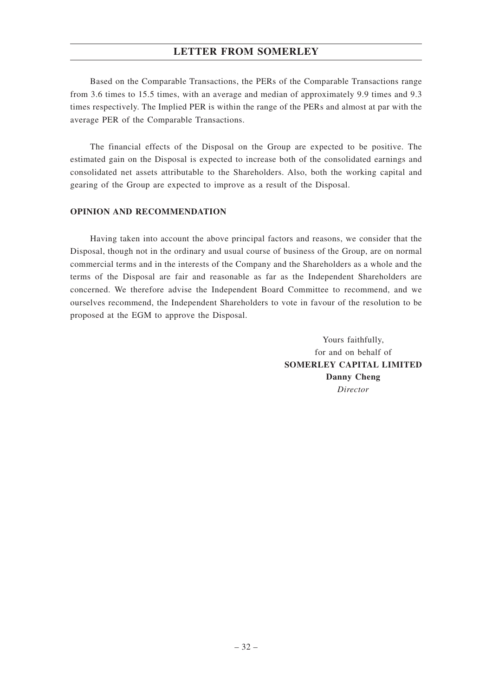Based on the Comparable Transactions, the PERs of the Comparable Transactions range from 3.6 times to 15.5 times, with an average and median of approximately 9.9 times and 9.3 times respectively. The Implied PER is within the range of the PERs and almost at par with the average PER of the Comparable Transactions.

The financial effects of the Disposal on the Group are expected to be positive. The estimated gain on the Disposal is expected to increase both of the consolidated earnings and consolidated net assets attributable to the Shareholders. Also, both the working capital and gearing of the Group are expected to improve as a result of the Disposal.

## **OPINION AND RECOMMENDATION**

Having taken into account the above principal factors and reasons, we consider that the Disposal, though not in the ordinary and usual course of business of the Group, are on normal commercial terms and in the interests of the Company and the Shareholders as a whole and the terms of the Disposal are fair and reasonable as far as the Independent Shareholders are concerned. We therefore advise the Independent Board Committee to recommend, and we ourselves recommend, the Independent Shareholders to vote in favour of the resolution to be proposed at the EGM to approve the Disposal.

> Yours faithfully, for and on behalf of **SOMERLEY CAPITAL LIMITED Danny Cheng** *Director*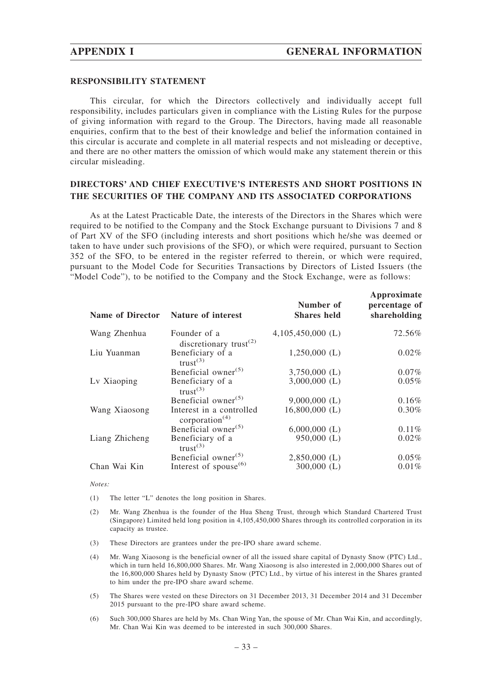**Approximate**

#### **RESPONSIBILITY STATEMENT**

This circular, for which the Directors collectively and individually accept full responsibility, includes particulars given in compliance with the Listing Rules for the purpose of giving information with regard to the Group. The Directors, having made all reasonable enquiries, confirm that to the best of their knowledge and belief the information contained in this circular is accurate and complete in all material respects and not misleading or deceptive, and there are no other matters the omission of which would make any statement therein or this circular misleading.

## **DIRECTORS' AND CHIEF EXECUTIVE'S INTERESTS AND SHORT POSITIONS IN THE SECURITIES OF THE COMPANY AND ITS ASSOCIATED CORPORATIONS**

As at the Latest Practicable Date, the interests of the Directors in the Shares which were required to be notified to the Company and the Stock Exchange pursuant to Divisions 7 and 8 of Part XV of the SFO (including interests and short positions which he/she was deemed or taken to have under such provisions of the SFO), or which were required, pursuant to Section 352 of the SFO, to be entered in the register referred to therein, or which were required, pursuant to the Model Code for Securities Transactions by Directors of Listed Issuers (the "Model Code"), to be notified to the Company and the Stock Exchange, were as follows:

| <b>Name of Director</b> | <b>Nature of interest</b>                                       | Number of<br><b>Shares held</b> | Approximate<br>percentage of<br>shareholding |
|-------------------------|-----------------------------------------------------------------|---------------------------------|----------------------------------------------|
| Wang Zhenhua            | Founder of a<br>discretionary trust <sup><math>(2)</math></sup> | $4,105,450,000$ (L)             | 72.56%                                       |
| Liu Yuanman             | Beneficiary of a<br>trust <sup>(3)</sup>                        | $1,250,000$ (L)                 | $0.02\%$                                     |
|                         | Beneficial owner $(5)$                                          | $3,750,000$ (L)                 | $0.07\%$                                     |
| Lv Xiaoping             | Beneficiary of a<br>trust <sup>(3)</sup>                        | $3,000,000$ (L)                 | $0.05\%$                                     |
|                         | Beneficial owner <sup>(5)</sup>                                 | $9,000,000$ (L)                 | $0.16\%$                                     |
| Wang Xiaosong           | Interest in a controlled<br>corporation $(4)$                   | $16,800,000$ (L)                | $0.30\%$                                     |
|                         | Beneficial owner <sup>(5)</sup>                                 | $6,000,000$ (L)                 | 0.11%                                        |
| Liang Zhicheng          | Beneficiary of a<br>trust <sup>(3)</sup>                        | $950,000$ (L)                   | $0.02\%$                                     |
|                         | Beneficial owner <sup>(5)</sup>                                 | $2,850,000$ (L)                 | $0.05\%$                                     |
| Chan Wai Kin            | Interest of spouse <sup><math>(6)</math></sup>                  | $300,000$ (L)                   | $0.01\%$                                     |

*Notes:*

(1) The letter "L" denotes the long position in Shares.

- (2) Mr. Wang Zhenhua is the founder of the Hua Sheng Trust, through which Standard Chartered Trust (Singapore) Limited held long position in 4,105,450,000 Shares through its controlled corporation in its capacity as trustee.
- (3) These Directors are grantees under the pre-IPO share award scheme.
- (4) Mr. Wang Xiaosong is the beneficial owner of all the issued share capital of Dynasty Snow (PTC) Ltd., which in turn held 16,800,000 Shares. Mr. Wang Xiaosong is also interested in 2,000,000 Shares out of the 16,800,000 Shares held by Dynasty Snow (PTC) Ltd., by virtue of his interest in the Shares granted to him under the pre-IPO share award scheme.
- (5) The Shares were vested on these Directors on 31 December 2013, 31 December 2014 and 31 December 2015 pursuant to the pre-IPO share award scheme.
- (6) Such 300,000 Shares are held by Ms. Chan Wing Yan, the spouse of Mr. Chan Wai Kin, and accordingly, Mr. Chan Wai Kin was deemed to be interested in such 300,000 Shares.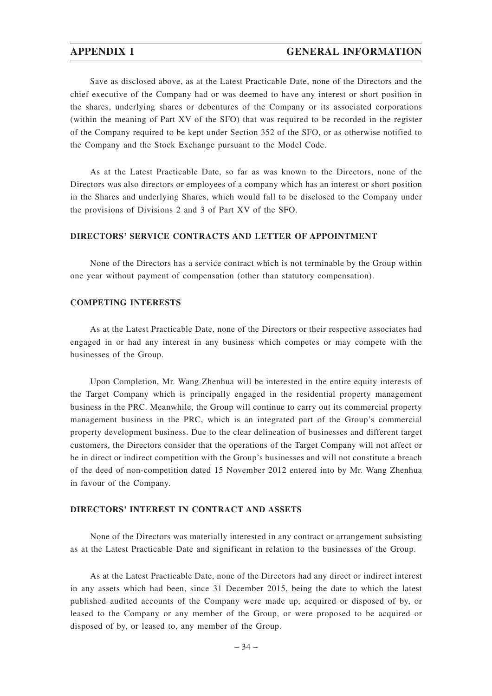### **APPENDIX I GENERAL INFORMATION**

Save as disclosed above, as at the Latest Practicable Date, none of the Directors and the chief executive of the Company had or was deemed to have any interest or short position in the shares, underlying shares or debentures of the Company or its associated corporations (within the meaning of Part XV of the SFO) that was required to be recorded in the register of the Company required to be kept under Section 352 of the SFO, or as otherwise notified to the Company and the Stock Exchange pursuant to the Model Code.

As at the Latest Practicable Date, so far as was known to the Directors, none of the Directors was also directors or employees of a company which has an interest or short position in the Shares and underlying Shares, which would fall to be disclosed to the Company under the provisions of Divisions 2 and 3 of Part XV of the SFO.

## **DIRECTORS' SERVICE CONTRACTS AND LETTER OF APPOINTMENT**

None of the Directors has a service contract which is not terminable by the Group within one year without payment of compensation (other than statutory compensation).

#### **COMPETING INTERESTS**

As at the Latest Practicable Date, none of the Directors or their respective associates had engaged in or had any interest in any business which competes or may compete with the businesses of the Group.

Upon Completion, Mr. Wang Zhenhua will be interested in the entire equity interests of the Target Company which is principally engaged in the residential property management business in the PRC. Meanwhile, the Group will continue to carry out its commercial property management business in the PRC, which is an integrated part of the Group's commercial property development business. Due to the clear delineation of businesses and different target customers, the Directors consider that the operations of the Target Company will not affect or be in direct or indirect competition with the Group's businesses and will not constitute a breach of the deed of non-competition dated 15 November 2012 entered into by Mr. Wang Zhenhua in favour of the Company.

## **DIRECTORS' INTEREST IN CONTRACT AND ASSETS**

None of the Directors was materially interested in any contract or arrangement subsisting as at the Latest Practicable Date and significant in relation to the businesses of the Group.

As at the Latest Practicable Date, none of the Directors had any direct or indirect interest in any assets which had been, since 31 December 2015, being the date to which the latest published audited accounts of the Company were made up, acquired or disposed of by, or leased to the Company or any member of the Group, or were proposed to be acquired or disposed of by, or leased to, any member of the Group.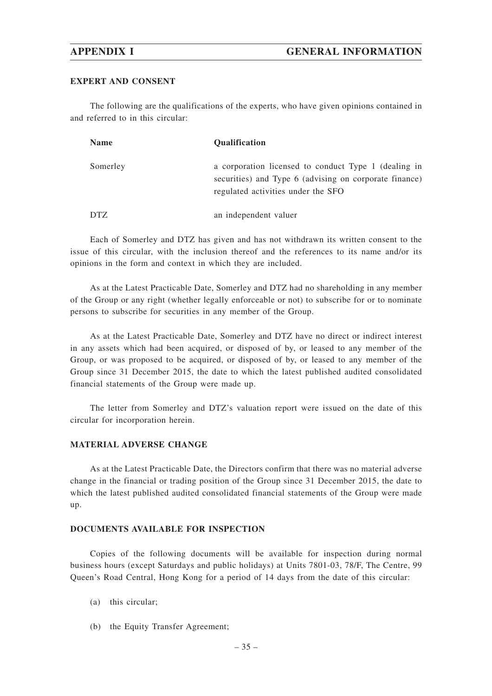### **EXPERT AND CONSENT**

The following are the qualifications of the experts, who have given opinions contained in and referred to in this circular:

| <b>Name</b> | <b>Oualification</b>                                                                                                                                 |
|-------------|------------------------------------------------------------------------------------------------------------------------------------------------------|
| Somerley    | a corporation licensed to conduct Type 1 (dealing in<br>securities) and Type 6 (advising on corporate finance)<br>regulated activities under the SFO |
| <b>DTZ</b>  | an independent valuer                                                                                                                                |

Each of Somerley and DTZ has given and has not withdrawn its written consent to the issue of this circular, with the inclusion thereof and the references to its name and/or its opinions in the form and context in which they are included.

As at the Latest Practicable Date, Somerley and DTZ had no shareholding in any member of the Group or any right (whether legally enforceable or not) to subscribe for or to nominate persons to subscribe for securities in any member of the Group.

As at the Latest Practicable Date, Somerley and DTZ have no direct or indirect interest in any assets which had been acquired, or disposed of by, or leased to any member of the Group, or was proposed to be acquired, or disposed of by, or leased to any member of the Group since 31 December 2015, the date to which the latest published audited consolidated financial statements of the Group were made up.

The letter from Somerley and DTZ's valuation report were issued on the date of this circular for incorporation herein.

### **MATERIAL ADVERSE CHANGE**

As at the Latest Practicable Date, the Directors confirm that there was no material adverse change in the financial or trading position of the Group since 31 December 2015, the date to which the latest published audited consolidated financial statements of the Group were made up.

## **DOCUMENTS AVAILABLE FOR INSPECTION**

Copies of the following documents will be available for inspection during normal business hours (except Saturdays and public holidays) at Units 7801-03, 78/F, The Centre, 99 Queen's Road Central, Hong Kong for a period of 14 days from the date of this circular:

- (a) this circular;
- (b) the Equity Transfer Agreement;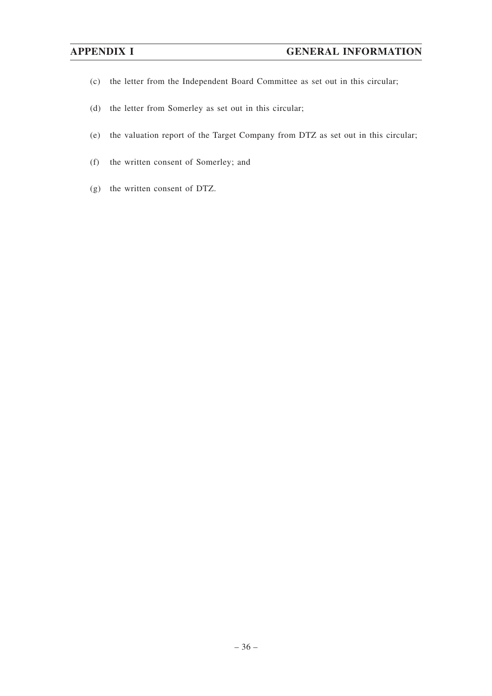- (c) the letter from the Independent Board Committee as set out in this circular;
- (d) the letter from Somerley as set out in this circular;
- (e) the valuation report of the Target Company from DTZ as set out in this circular;
- (f) the written consent of Somerley; and
- (g) the written consent of DTZ.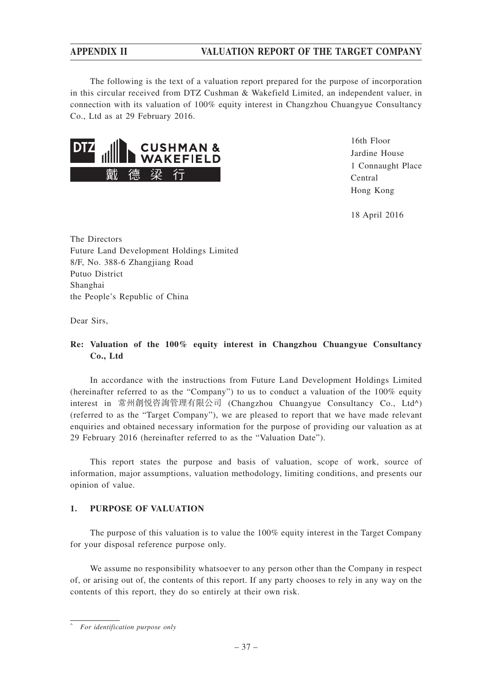The following is the text of a valuation report prepared for the purpose of incorporation in this circular received from DTZ Cushman & Wakefield Limited, an independent valuer, in connection with its valuation of 100% equity interest in Changzhou Chuangyue Consultancy Co., Ltd as at 29 February 2016.



16th Floor Jardine House 1 Connaught Place Central Hong Kong

18 April 2016

The Directors Future Land Development Holdings Limited 8/F, No. 388-6 Zhangjiang Road Putuo District Shanghai the People's Republic of China

Dear Sirs,

## **Re: Valuation of the 100% equity interest in Changzhou Chuangyue Consultancy Co., Ltd**

In accordance with the instructions from Future Land Development Holdings Limited (hereinafter referred to as the "Company") to us to conduct a valuation of the 100% equity interest in 常州創悅咨詢管理有限公司 (Changzhou Chuangyue Consultancy Co., Ltd^) (referred to as the "Target Company"), we are pleased to report that we have made relevant enquiries and obtained necessary information for the purpose of providing our valuation as at 29 February 2016 (hereinafter referred to as the "Valuation Date").

This report states the purpose and basis of valuation, scope of work, source of information, major assumptions, valuation methodology, limiting conditions, and presents our opinion of value.

## **1. PURPOSE OF VALUATION**

The purpose of this valuation is to value the 100% equity interest in the Target Company for your disposal reference purpose only.

We assume no responsibility whatsoever to any person other than the Company in respect of, or arising out of, the contents of this report. If any party chooses to rely in any way on the contents of this report, they do so entirely at their own risk.

<sup>^</sup> *For identification purpose only*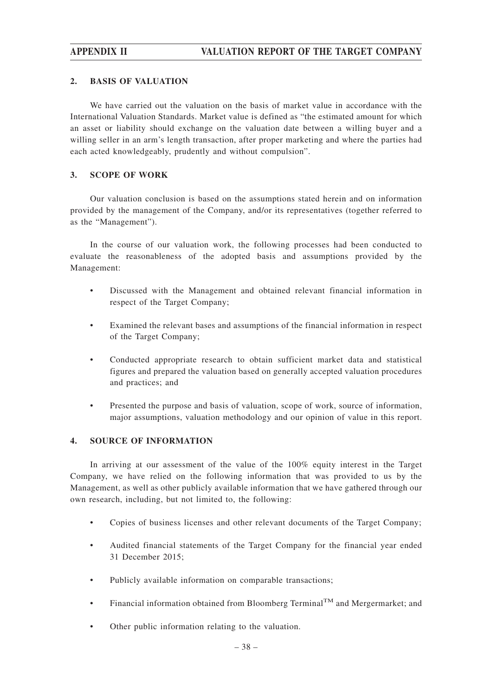## **2. BASIS OF VALUATION**

We have carried out the valuation on the basis of market value in accordance with the International Valuation Standards. Market value is defined as "the estimated amount for which an asset or liability should exchange on the valuation date between a willing buyer and a willing seller in an arm's length transaction, after proper marketing and where the parties had each acted knowledgeably, prudently and without compulsion".

## **3. SCOPE OF WORK**

Our valuation conclusion is based on the assumptions stated herein and on information provided by the management of the Company, and/or its representatives (together referred to as the "Management").

In the course of our valuation work, the following processes had been conducted to evaluate the reasonableness of the adopted basis and assumptions provided by the Management:

- Discussed with the Management and obtained relevant financial information in respect of the Target Company;
- Examined the relevant bases and assumptions of the financial information in respect of the Target Company;
- Conducted appropriate research to obtain sufficient market data and statistical figures and prepared the valuation based on generally accepted valuation procedures and practices; and
- Presented the purpose and basis of valuation, scope of work, source of information, major assumptions, valuation methodology and our opinion of value in this report.

## **4. SOURCE OF INFORMATION**

In arriving at our assessment of the value of the 100% equity interest in the Target Company, we have relied on the following information that was provided to us by the Management, as well as other publicly available information that we have gathered through our own research, including, but not limited to, the following:

- Copies of business licenses and other relevant documents of the Target Company;
- Audited financial statements of the Target Company for the financial year ended 31 December 2015;
- Publicly available information on comparable transactions;
- Financial information obtained from Bloomberg Terminal<sup>TM</sup> and Mergermarket; and
- Other public information relating to the valuation.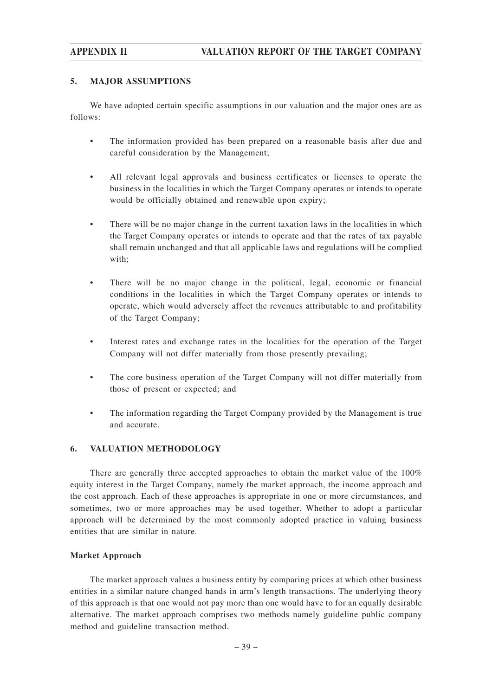## **5. MAJOR ASSUMPTIONS**

We have adopted certain specific assumptions in our valuation and the major ones are as follows:

- The information provided has been prepared on a reasonable basis after due and careful consideration by the Management;
- All relevant legal approvals and business certificates or licenses to operate the business in the localities in which the Target Company operates or intends to operate would be officially obtained and renewable upon expiry;
- There will be no major change in the current taxation laws in the localities in which the Target Company operates or intends to operate and that the rates of tax payable shall remain unchanged and that all applicable laws and regulations will be complied with;
- There will be no major change in the political, legal, economic or financial conditions in the localities in which the Target Company operates or intends to operate, which would adversely affect the revenues attributable to and profitability of the Target Company;
- Interest rates and exchange rates in the localities for the operation of the Target Company will not differ materially from those presently prevailing;
- The core business operation of the Target Company will not differ materially from those of present or expected; and
- The information regarding the Target Company provided by the Management is true and accurate.

## **6. VALUATION METHODOLOGY**

There are generally three accepted approaches to obtain the market value of the 100% equity interest in the Target Company, namely the market approach, the income approach and the cost approach. Each of these approaches is appropriate in one or more circumstances, and sometimes, two or more approaches may be used together. Whether to adopt a particular approach will be determined by the most commonly adopted practice in valuing business entities that are similar in nature.

### **Market Approach**

The market approach values a business entity by comparing prices at which other business entities in a similar nature changed hands in arm's length transactions. The underlying theory of this approach is that one would not pay more than one would have to for an equally desirable alternative. The market approach comprises two methods namely guideline public company method and guideline transaction method.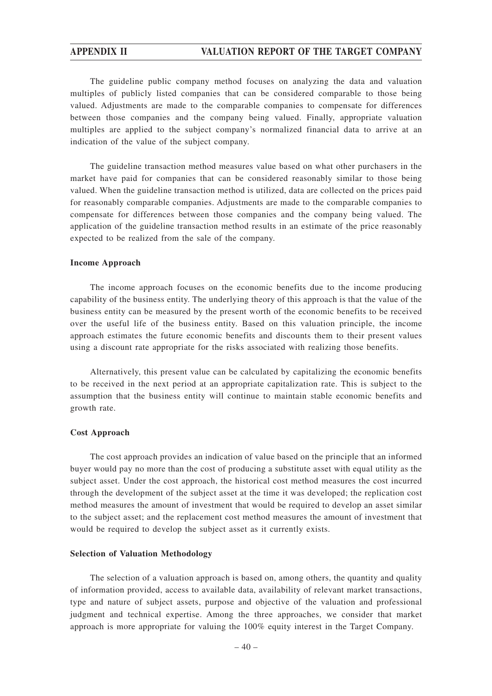The guideline public company method focuses on analyzing the data and valuation multiples of publicly listed companies that can be considered comparable to those being valued. Adjustments are made to the comparable companies to compensate for differences between those companies and the company being valued. Finally, appropriate valuation multiples are applied to the subject company's normalized financial data to arrive at an indication of the value of the subject company.

The guideline transaction method measures value based on what other purchasers in the market have paid for companies that can be considered reasonably similar to those being valued. When the guideline transaction method is utilized, data are collected on the prices paid for reasonably comparable companies. Adjustments are made to the comparable companies to compensate for differences between those companies and the company being valued. The application of the guideline transaction method results in an estimate of the price reasonably expected to be realized from the sale of the company.

#### **Income Approach**

The income approach focuses on the economic benefits due to the income producing capability of the business entity. The underlying theory of this approach is that the value of the business entity can be measured by the present worth of the economic benefits to be received over the useful life of the business entity. Based on this valuation principle, the income approach estimates the future economic benefits and discounts them to their present values using a discount rate appropriate for the risks associated with realizing those benefits.

Alternatively, this present value can be calculated by capitalizing the economic benefits to be received in the next period at an appropriate capitalization rate. This is subject to the assumption that the business entity will continue to maintain stable economic benefits and growth rate.

#### **Cost Approach**

The cost approach provides an indication of value based on the principle that an informed buyer would pay no more than the cost of producing a substitute asset with equal utility as the subject asset. Under the cost approach, the historical cost method measures the cost incurred through the development of the subject asset at the time it was developed; the replication cost method measures the amount of investment that would be required to develop an asset similar to the subject asset; and the replacement cost method measures the amount of investment that would be required to develop the subject asset as it currently exists.

#### **Selection of Valuation Methodology**

The selection of a valuation approach is based on, among others, the quantity and quality of information provided, access to available data, availability of relevant market transactions, type and nature of subject assets, purpose and objective of the valuation and professional judgment and technical expertise. Among the three approaches, we consider that market approach is more appropriate for valuing the 100% equity interest in the Target Company.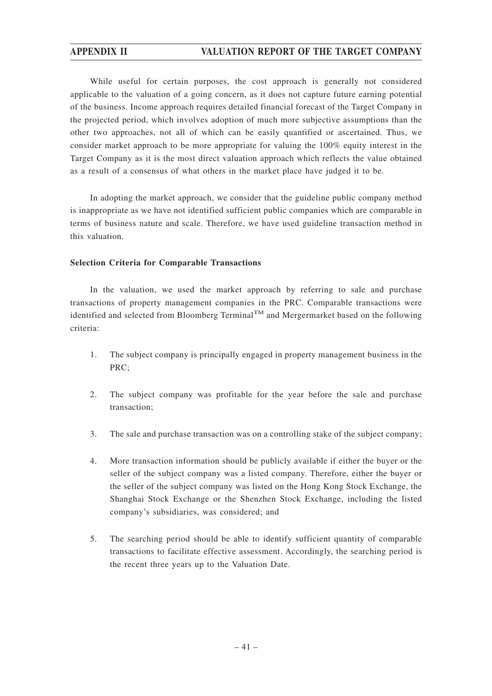While useful for certain purposes, the cost approach is generally not considered applicable to the valuation of a going concern, as it does not capture future earning potential of the business. Income approach requires detailed financial forecast of the Target Company in the projected period, which involves adoption of much more subjective assumptions than the other two approaches, not all of which can be easily quantified or ascertained. Thus, we consider market approach to be more appropriate for valuing the 100% equity interest in the Target Company as it is the most direct valuation approach which reflects the value obtained as a result of a consensus of what others in the market place have judged it to be.

In adopting the market approach, we consider that the guideline public company method is inappropriate as we have not identified sufficient public companies which are comparable in terms of business nature and scale. Therefore, we have used guideline transaction method in this valuation.

## **Selection Criteria for Comparable Transactions**

In the valuation, we used the market approach by referring to sale and purchase transactions of property management companies in the PRC. Comparable transactions were identified and selected from Bloomberg Terminal<sup>TM</sup> and Mergermarket based on the following criteria:

- 1. The subject company is principally engaged in property management business in the PRC;
- 2. The subject company was profitable for the year before the sale and purchase transaction;
- 3. The sale and purchase transaction was on a controlling stake of the subject company;
- 4. More transaction information should be publicly available if either the buyer or the seller of the subject company was a listed company. Therefore, either the buyer or the seller of the subject company was listed on the Hong Kong Stock Exchange, the Shanghai Stock Exchange or the Shenzhen Stock Exchange, including the listed company's subsidiaries, was considered; and
- 5. The searching period should be able to identify sufficient quantity of comparable transactions to facilitate effective assessment. Accordingly, the searching period is the recent three years up to the Valuation Date.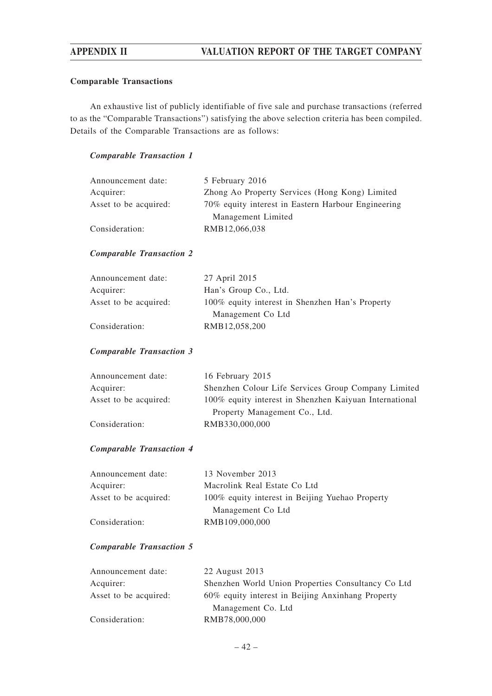## **Comparable Transactions**

An exhaustive list of publicly identifiable of five sale and purchase transactions (referred to as the "Comparable Transactions") satisfying the above selection criteria has been compiled. Details of the Comparable Transactions are as follows:

## *Comparable Transaction 1*

| Announcement date:    | 5 February 2016                                    |
|-----------------------|----------------------------------------------------|
| Acquirer:             | Zhong Ao Property Services (Hong Kong) Limited     |
| Asset to be acquired: | 70% equity interest in Eastern Harbour Engineering |
|                       | Management Limited                                 |
| Consideration:        | RMB12,066,038                                      |

## *Comparable Transaction 2*

| Announcement date:    | 27 April 2015                                   |
|-----------------------|-------------------------------------------------|
| Acquirer:             | Han's Group Co., Ltd.                           |
| Asset to be acquired: | 100% equity interest in Shenzhen Han's Property |
|                       | Management Co Ltd                               |
| Consideration:        | RMB12,058,200                                   |

## *Comparable Transaction 3*

| Announcement date:    | 16 February 2015                                       |
|-----------------------|--------------------------------------------------------|
| Acquirer:             | Shenzhen Colour Life Services Group Company Limited    |
| Asset to be acquired: | 100% equity interest in Shenzhen Kaiyuan International |
|                       | Property Management Co., Ltd.                          |
| Consideration:        | RMB330,000,000                                         |

## *Comparable Transaction 4*

| Announcement date:    | 13 November 2013                                |
|-----------------------|-------------------------------------------------|
| Acquirer:             | Macrolink Real Estate Co Ltd                    |
| Asset to be acquired: | 100% equity interest in Beijing Yuehao Property |
|                       | Management Co Ltd                               |
| Consideration:        | RMB109,000,000                                  |

## *Comparable Transaction 5*

| 22 August 2013                                     |
|----------------------------------------------------|
| Shenzhen World Union Properties Consultancy Co Ltd |
| 60% equity interest in Beijing Anxinhang Property  |
| Management Co. Ltd.                                |
| RMB78,000,000                                      |
|                                                    |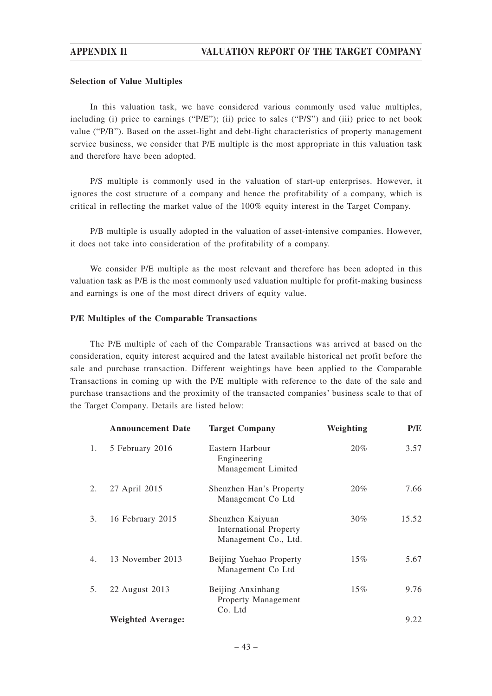## **Selection of Value Multiples**

In this valuation task, we have considered various commonly used value multiples, including (i) price to earnings (" $P/E$ "); (ii) price to sales (" $P/S$ ") and (iii) price to net book value ("P/B"). Based on the asset-light and debt-light characteristics of property management service business, we consider that P/E multiple is the most appropriate in this valuation task and therefore have been adopted.

P/S multiple is commonly used in the valuation of start-up enterprises. However, it ignores the cost structure of a company and hence the profitability of a company, which is critical in reflecting the market value of the 100% equity interest in the Target Company.

P/B multiple is usually adopted in the valuation of asset-intensive companies. However, it does not take into consideration of the profitability of a company.

We consider P/E multiple as the most relevant and therefore has been adopted in this valuation task as P/E is the most commonly used valuation multiple for profit-making business and earnings is one of the most direct drivers of equity value.

## **P/E Multiples of the Comparable Transactions**

The P/E multiple of each of the Comparable Transactions was arrived at based on the consideration, equity interest acquired and the latest available historical net profit before the sale and purchase transaction. Different weightings have been applied to the Comparable Transactions in coming up with the P/E multiple with reference to the date of the sale and purchase transactions and the proximity of the transacted companies' business scale to that of the Target Company. Details are listed below:

|    | <b>Announcement Date</b> | <b>Target Company</b>                                                     | Weighting | P/E   |
|----|--------------------------|---------------------------------------------------------------------------|-----------|-------|
| 1. | 5 February 2016          | Eastern Harbour<br>Engineering<br>Management Limited                      | 20%       | 3.57  |
| 2. | 27 April 2015            | Shenzhen Han's Property<br>Management Co Ltd                              | 20%       | 7.66  |
| 3. | 16 February 2015         | Shenzhen Kaiyuan<br><b>International Property</b><br>Management Co., Ltd. | 30%       | 15.52 |
| 4. | 13 November 2013         | Beijing Yuehao Property<br>Management Co Ltd                              | 15%       | 5.67  |
| 5. | 22 August 2013           | Beijing Anxinhang<br>Property Management<br>Co. Ltd                       | 15%       | 9.76  |
|    | <b>Weighted Average:</b> |                                                                           |           | 9.22  |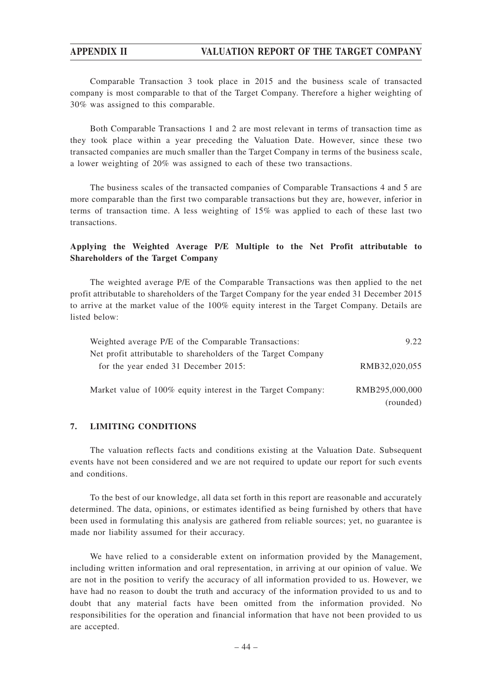Comparable Transaction 3 took place in 2015 and the business scale of transacted company is most comparable to that of the Target Company. Therefore a higher weighting of 30% was assigned to this comparable.

Both Comparable Transactions 1 and 2 are most relevant in terms of transaction time as they took place within a year preceding the Valuation Date. However, since these two transacted companies are much smaller than the Target Company in terms of the business scale, a lower weighting of 20% was assigned to each of these two transactions.

The business scales of the transacted companies of Comparable Transactions 4 and 5 are more comparable than the first two comparable transactions but they are, however, inferior in terms of transaction time. A less weighting of 15% was applied to each of these last two transactions.

## **Applying the Weighted Average P/E Multiple to the Net Profit attributable to Shareholders of the Target Company**

The weighted average P/E of the Comparable Transactions was then applied to the net profit attributable to shareholders of the Target Company for the year ended 31 December 2015 to arrive at the market value of the 100% equity interest in the Target Company. Details are listed below:

| Weighted average P/E of the Comparable Transactions:          | 9.22           |
|---------------------------------------------------------------|----------------|
| Net profit attributable to shareholders of the Target Company |                |
| for the year ended 31 December 2015:                          | RMB32,020,055  |
|                                                               |                |
| Market value of 100% equity interest in the Target Company:   | RMB295,000,000 |
|                                                               | (rounded)      |

### **7. LIMITING CONDITIONS**

The valuation reflects facts and conditions existing at the Valuation Date. Subsequent events have not been considered and we are not required to update our report for such events and conditions.

To the best of our knowledge, all data set forth in this report are reasonable and accurately determined. The data, opinions, or estimates identified as being furnished by others that have been used in formulating this analysis are gathered from reliable sources; yet, no guarantee is made nor liability assumed for their accuracy.

We have relied to a considerable extent on information provided by the Management, including written information and oral representation, in arriving at our opinion of value. We are not in the position to verify the accuracy of all information provided to us. However, we have had no reason to doubt the truth and accuracy of the information provided to us and to doubt that any material facts have been omitted from the information provided. No responsibilities for the operation and financial information that have not been provided to us are accepted.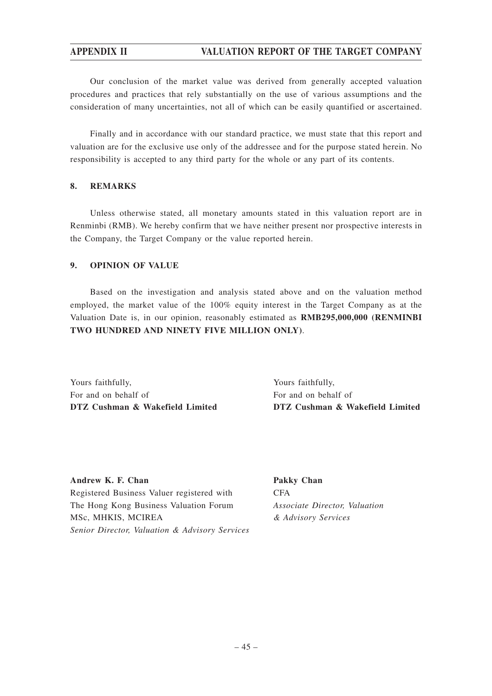Our conclusion of the market value was derived from generally accepted valuation procedures and practices that rely substantially on the use of various assumptions and the consideration of many uncertainties, not all of which can be easily quantified or ascertained.

Finally and in accordance with our standard practice, we must state that this report and valuation are for the exclusive use only of the addressee and for the purpose stated herein. No responsibility is accepted to any third party for the whole or any part of its contents.

## **8. REMARKS**

Unless otherwise stated, all monetary amounts stated in this valuation report are in Renminbi (RMB). We hereby confirm that we have neither present nor prospective interests in the Company, the Target Company or the value reported herein.

## **9. OPINION OF VALUE**

Based on the investigation and analysis stated above and on the valuation method employed, the market value of the 100% equity interest in the Target Company as at the Valuation Date is, in our opinion, reasonably estimated as **RMB295,000,000 (RENMINBI TWO HUNDRED AND NINETY FIVE MILLION ONLY)**.

Yours faithfully, For and on behalf of **DTZ Cushman & Wakefield Limited**

Yours faithfully, For and on behalf of **DTZ Cushman & Wakefield Limited**

**Andrew K. F. Chan** Registered Business Valuer registered with The Hong Kong Business Valuation Forum MSc, MHKIS, MCIREA *Senior Director, Valuation & Advisory Services* **Pakky Chan** CFA *Associate Director, Valuation & Advisory Services*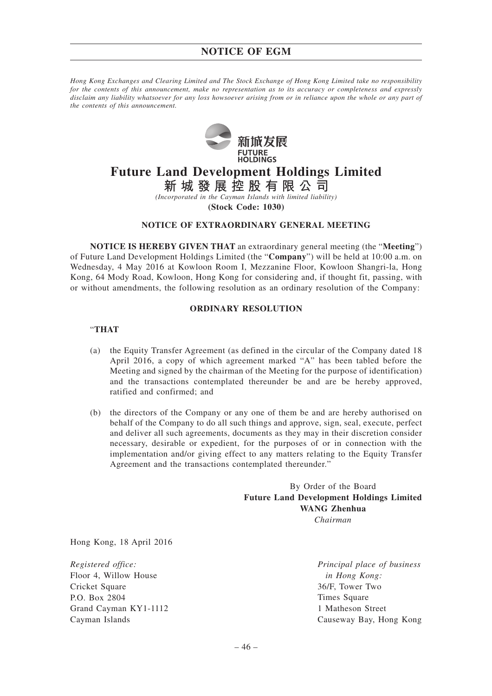# **NOTICE OF EGM**

*Hong Kong Exchanges and Clearing Limited and The Stock Exchange of Hong Kong Limited take no responsibility for the contents of this announcement, make no representation as to its accuracy or completeness and expressly disclaim any liability whatsoever for any loss howsoever arising from or in reliance upon the whole or any part of the contents of this announcement.*



# **Future Land Development Holdings Limited**

**新城發展控股有限公司** *(Incorporated in the Cayman Islands with limited liability)*

**(Stock Code: 1030)**

### **NOTICE OF EXTRAORDINARY GENERAL MEETING**

**NOTICE IS HEREBY GIVEN THAT** an extraordinary general meeting (the "**Meeting**") of Future Land Development Holdings Limited (the "**Company**") will be held at 10:00 a.m. on Wednesday, 4 May 2016 at Kowloon Room I, Mezzanine Floor, Kowloon Shangri-la, Hong Kong, 64 Mody Road, Kowloon, Hong Kong for considering and, if thought fit, passing, with or without amendments, the following resolution as an ordinary resolution of the Company:

#### **ORDINARY RESOLUTION**

#### "**THAT**

- (a) the Equity Transfer Agreement (as defined in the circular of the Company dated 18 April 2016, a copy of which agreement marked "A" has been tabled before the Meeting and signed by the chairman of the Meeting for the purpose of identification) and the transactions contemplated thereunder be and are be hereby approved, ratified and confirmed; and
- (b) the directors of the Company or any one of them be and are hereby authorised on behalf of the Company to do all such things and approve, sign, seal, execute, perfect and deliver all such agreements, documents as they may in their discretion consider necessary, desirable or expedient, for the purposes of or in connection with the implementation and/or giving effect to any matters relating to the Equity Transfer Agreement and the transactions contemplated thereunder."

By Order of the Board **Future Land Development Holdings Limited WANG Zhenhua** *Chairman*

Hong Kong, 18 April 2016

*Registered office:* Floor 4, Willow House Cricket Square P.O. Box 2804 Grand Cayman KY1-1112 Cayman Islands

*Principal place of business in Hong Kong:* 36/F, Tower Two Times Square 1 Matheson Street Causeway Bay, Hong Kong